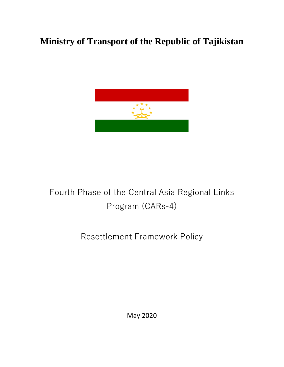# **Ministry of Transport of the Republic of Tajikistan**



# Fourth Phase of the Central Asia Regional Links Program (CARs-4)

# Resettlement Framework Policy

May 2020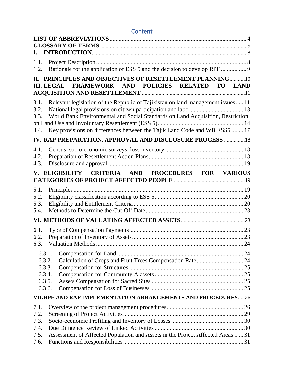# **Content**

| I. <b>I.</b>                 |                                                                                                                                                                                                                                                 |  |
|------------------------------|-------------------------------------------------------------------------------------------------------------------------------------------------------------------------------------------------------------------------------------------------|--|
| 1.1.<br>1.2.                 |                                                                                                                                                                                                                                                 |  |
|                              | II. PRINCIPLES AND OBJECTIVES OF RESETTLEMENT PLANNING10<br>III. LEGAL FRAMEWORK AND POLICIES RELATED<br>TO LAND                                                                                                                                |  |
| 3.1.<br>3.2.<br>3.3.<br>3.4. | Relevant legislation of the Republic of Tajikistan on land management issues  11<br>World Bank Environmental and Social Standards on Land Acquisition, Restriction<br>Key provisions on differences between the Tajik Land Code and WB ESS5  17 |  |
|                              | IV. RAP PREPARATION, APPROVAL AND DISCLOSURE PROCESS  18                                                                                                                                                                                        |  |
| 4.1.<br>4.2.<br>4.3.         |                                                                                                                                                                                                                                                 |  |
|                              | V. ELIGIBILITY CRITERIA AND PROCEDURES FOR VARIOUS                                                                                                                                                                                              |  |
| 5.1.                         |                                                                                                                                                                                                                                                 |  |
| 5.2.                         |                                                                                                                                                                                                                                                 |  |
| 5.3.<br>5.4.                 |                                                                                                                                                                                                                                                 |  |
|                              |                                                                                                                                                                                                                                                 |  |
| 6.1.                         |                                                                                                                                                                                                                                                 |  |
| 6.2.                         |                                                                                                                                                                                                                                                 |  |
| 6.3.                         |                                                                                                                                                                                                                                                 |  |
|                              | 6.3.1.                                                                                                                                                                                                                                          |  |
|                              | 6.3.2.                                                                                                                                                                                                                                          |  |
|                              | 6.3.3.                                                                                                                                                                                                                                          |  |
|                              | 6.3.4.                                                                                                                                                                                                                                          |  |
|                              | 6.3.5.                                                                                                                                                                                                                                          |  |
|                              | 6.3.6.                                                                                                                                                                                                                                          |  |
|                              | VII.RPF AND RAP IMPLEMENTATION ARRANGEMENTS AND PROCEDURES26                                                                                                                                                                                    |  |
| 7.1.                         |                                                                                                                                                                                                                                                 |  |
| 7.2.                         |                                                                                                                                                                                                                                                 |  |
| 7.3.<br>7.4.                 |                                                                                                                                                                                                                                                 |  |
| 7.5.                         | Assessment of Affected Population and Assets in the Project Affected Areas  31                                                                                                                                                                  |  |
| 7.6.                         |                                                                                                                                                                                                                                                 |  |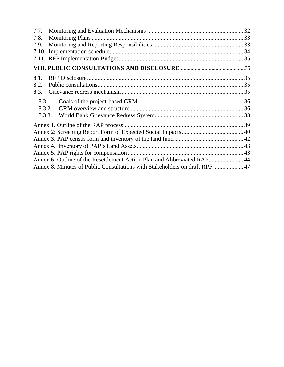| 7.8.   |                                                                             |  |
|--------|-----------------------------------------------------------------------------|--|
| 7.9.   |                                                                             |  |
|        |                                                                             |  |
|        |                                                                             |  |
|        |                                                                             |  |
| 8.1.   |                                                                             |  |
| 8.2.   |                                                                             |  |
| 8.3.   |                                                                             |  |
| 8.3.1. |                                                                             |  |
| 8.3.2. |                                                                             |  |
| 8.3.3. |                                                                             |  |
|        |                                                                             |  |
|        |                                                                             |  |
|        |                                                                             |  |
|        |                                                                             |  |
|        |                                                                             |  |
|        | Annex 6: Outline of the Resettlement Action Plan and Abbreviated RAP 44     |  |
|        | Annex 8. Minutes of Public Consultations with Stakeholders on draft RPF  47 |  |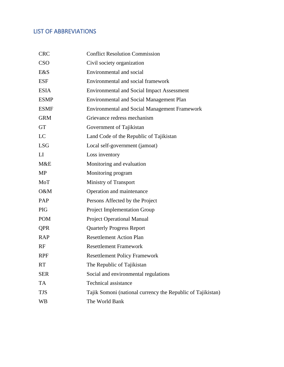# <span id="page-3-0"></span>LIST OF ABBREVIATIONS

| <b>CRC</b>  | <b>Conflict Resolution Commission</b>                       |
|-------------|-------------------------------------------------------------|
| <b>CSO</b>  | Civil society organization                                  |
| E&S         | Environmental and social                                    |
| <b>ESF</b>  | Environmental and social framework                          |
| <b>ESIA</b> | <b>Environmental and Social Impact Assessment</b>           |
| <b>ESMP</b> | <b>Environmental and Social Management Plan</b>             |
| <b>ESMF</b> | <b>Environmental and Social Management Framework</b>        |
| <b>GRM</b>  | Grievance redress mechanism                                 |
| <b>GT</b>   | Government of Tajikistan                                    |
| LC          | Land Code of the Republic of Tajikistan                     |
| <b>LSG</b>  | Local self-government (jamoat)                              |
| LI          | Loss inventory                                              |
| M&E         | Monitoring and evaluation                                   |
| <b>MP</b>   | Monitoring program                                          |
| MoT         | Ministry of Transport                                       |
| O&M         | Operation and maintenance                                   |
| PAP         | Persons Affected by the Project                             |
| <b>PIG</b>  | <b>Project Implementation Group</b>                         |
| <b>POM</b>  | <b>Project Operational Manual</b>                           |
| <b>QPR</b>  | <b>Quarterly Progress Report</b>                            |
| <b>RAP</b>  | <b>Resettlement Action Plan</b>                             |
| RF          | <b>Resettlement Framework</b>                               |
| <b>RPF</b>  | <b>Resettlement Policy Framework</b>                        |
| <b>RT</b>   | The Republic of Tajikistan                                  |
| <b>SER</b>  | Social and environmental regulations                        |
| <b>TA</b>   | Technical assistance                                        |
| <b>TJS</b>  | Tajik Somoni (national currency the Republic of Tajikistan) |
| <b>WB</b>   | The World Bank                                              |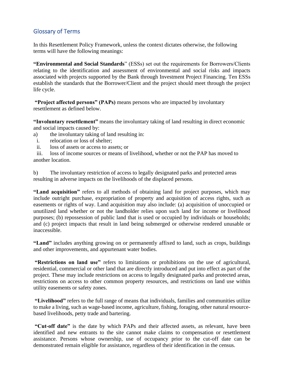# <span id="page-4-0"></span>Glossary of Terms

In this Resettlement Policy Framework, unless the context dictates otherwise, the following terms will have the following meanings:

**"Environmental and Social Standards**" (ESSs) set out the requirements for Borrowers/Clients relating to the identification and assessment of environmental and social risks and impacts associated with projects supported by the Bank through Investment Project Financing. Ten ESSs establish the standards that the Borrower/Client and the project should meet through the project life cycle.

**"Project affected persons" (PAPs)** means persons who are impacted by involuntary resettlement as defined below.

**"Involuntary resettlement"** means the involuntary taking of land resulting in direct economic and social impacts caused by:

- a) the involuntary taking of land resulting in:
- i. relocation or loss of shelter;
- ii. loss of assets or access to assets; or

iii. loss of income sources or means of livelihood, whether or not the PAP has moved to another location.

b) The involuntary restriction of access to legally designated parks and protected areas resulting in adverse impacts on the livelihoods of the displaced persons.

**"Land acquisition"** refers to all methods of obtaining land for project purposes, which may include outright purchase, expropriation of property and acquisition of access rights, such as easements or rights of way. Land acquisition may also include: (a) acquisition of unoccupied or unutilized land whether or not the landholder relies upon such land for income or livelihood purposes; (b) repossession of public land that is used or occupied by individuals or households; and (c) project impacts that result in land being submerged or otherwise rendered unusable or inaccessible.

**"Land"** includes anything growing on or permanently affixed to land, such as crops, buildings and other improvements, and appurtenant water bodies.

**"Restrictions on land use"** refers to limitations or prohibitions on the use of agricultural, residential, commercial or other land that are directly introduced and put into effect as part of the project. These may include restrictions on access to legally designated parks and protected areas, restrictions on access to other common property resources, and restrictions on land use within utility easements or safety zones.

**"Livelihood"** refers to the full range of means that individuals, families and communities utilize to make a living, such as wage-based income, agriculture, fishing, foraging, other natural resourcebased livelihoods, petty trade and bartering.

**"Cut-off date"** is the date by which PAPs and their affected assets, as relevant, have been identified and new entrants to the site cannot make claims to compensation or resettlement assistance. Persons whose ownership, use of occupancy prior to the cut-off date can be demonstrated remain eligible for assistance, regardless of their identification in the census.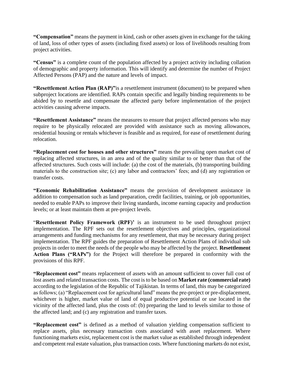**"Compensation"** means the payment in kind, cash or other assets given in exchange for the taking of land, loss of other types of assets (including fixed assets) or loss of livelihoods resulting from project activities.

**"Census"** is a complete count of the population affected by a project activity including collation of demographic and property information. This will identify and determine the number of Project Affected Persons (PAP) and the nature and levels of impact.

**"Resettlement Action Plan (RAP)"**is a resettlement instrument (document) to be prepared when subproject locations are identified. RAPs contain specific and legally binding requirements to be abided by to resettle and compensate the affected party before implementation of the project activities causing adverse impacts.

**"Resettlement Assistance"** means the measures to ensure that project affected persons who may require to be physically relocated are provided with assistance such as moving allowances, residential housing or rentals whichever is feasible and as required, for ease of resettlement during relocation.

**"Replacement cost for houses and other structures"** means the prevailing open market cost of replacing affected structures, in an area and of the quality similar to or better than that of the affected structures. Such costs will include: (a) the cost of the materials, (b) transporting building materials to the construction site; (c) any labor and contractors' fees; and (d) any registration or transfer costs.

**"Economic Rehabilitation Assistance"** means the provision of development assistance in addition to compensation such as land preparation, credit facilities, training, or job opportunities, needed to enable PAPs to improve their living standards, income earning capacity and production levels; or at least maintain them at pre-project levels.

"**Resettlement Policy Framework (RPF)'** is an instrument to be used throughout project implementation. The RPF sets out the resettlement objectives and principles, organizational arrangements and funding mechanisms for any resettlement, that may be necessary during project implementation. The RPF guides the preparation of Resettlement Action Plans of individual sub projects in order to meet the needs of the people who may be affected by the project. **Resettlement Action Plans ("RAPs")** for the Project will therefore be prepared in conformity with the provisions of this RPF.

**"Replacement cost"** means replacement of assets with an amount sufficient to cover full cost of lost assets and related transaction costs. The cost is to be based on **Market rate (commercial rate)**  according to the legislation of the Republic of Tajikistan. In terms of land, this may be categorized as follows; (a) "Replacement cost for agricultural land" means the pre-project or pre-displacement, whichever is higher, market value of land of equal productive potential or use located in the vicinity of the affected land, plus the costs of: (b) preparing the land to levels similar to those of the affected land; and (c) any registration and transfer taxes.

**"Replacement cost"** is defined as a method of valuation yielding compensation sufficient to replace assets, plus necessary transaction costs associated with asset replacement. Where functioning markets exist, replacement cost is the market value as established through independent and competent real estate valuation, plus transaction costs. Where functioning markets do not exist,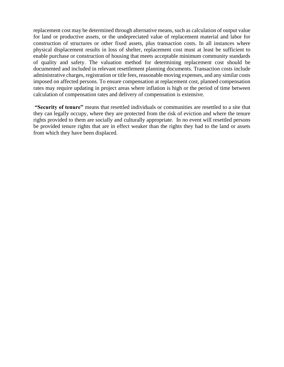replacement cost may be determined through alternative means, such as calculation of output value for land or productive assets, or the undepreciated value of replacement material and labor for construction of structures or other fixed assets, plus transaction costs. In all instances where physical displacement results in loss of shelter, replacement cost must at least be sufficient to enable purchase or construction of housing that meets acceptable minimum community standards of quality and safety. The valuation method for determining replacement cost should be documented and included in relevant resettlement planning documents. Transaction costs include administrative charges, registration or title fees, reasonable moving expenses, and any similar costs imposed on affected persons. To ensure compensation at replacement cost, planned compensation rates may require updating in project areas where inflation is high or the period of time between calculation of compensation rates and delivery of compensation is extensive.

**"Security of tenure"** means that resettled individuals or communities are resettled to a site that they can legally occupy, where they are protected from the risk of eviction and where the tenure rights provided to them are socially and culturally appropriate. In no event will resettled persons be provided tenure rights that are in effect weaker than the rights they had to the land or assets from which they have been displaced.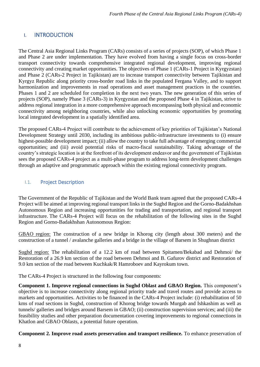# <span id="page-7-0"></span>I. INTRODUCTION

The Central Asia Regional Links Program (CARs) consists of a series of projects (SOP), of which Phase 1 and Phase 2 are under implementation. They have evolved from having a single focus on cross-border transport connectivity towards comprehensive integrated regional development, improving regional connectivity and creating market opportunities. The objectives of Phase 1 (CARs-1 Project in Kyrgyzstan) and Phase 2 (CARs-2 Project in Tajikistan) are to increase transport connectivity between Tajikistan and Kyrgyz Republic along priority cross-border road links in the populated Fergana Valley, and to support harmonization and improvements in road operations and asset management practices in the countries. Phases 1 and 2 are scheduled for completion in the next two years. The new generation of this series of projects (SOP), namely Phase 3 (CARs-3) in Kyrgyzstan and the proposed Phase 4 in Tajikistan, strive to address regional integration in a more comprehensive approach encompassing both physical and economic connectivity among neighboring countries, while also unlocking economic opportunities by promoting local integrated development in a spatially identified area.

The proposed CARs-4 Project will contribute to the achievement of key priorities of Tajikistan's National Development Strategy until 2030, including its ambitious public-infrastructure investments to (i) ensure highest-possible development impact; (ii) allow the country to take full advantage of emerging commercial opportunities; and (iii) avoid potential risks of macro-fiscal sustainability. Taking advantage of the country's strategic location is at the forefront of its development endeavor and the government of Tajikistan sees the proposed CARs-4 project as a multi-phase program to address long-term development challenges through an adaptive and programmatic approach within the existing regional connectivity program.

## <span id="page-7-1"></span>I.1. Project Description

The Government of the Republic of Tajikistan and the World Bank team agreed that the proposed CARs-4 Project will be aimed at improving regional transport links in the Sughd Region and the Gorno-Badakhshan Autonomous Region and increasing opportunities for trading and transportation, and regional transport infrastructure. The CARs-4 Project will focus on the rehabilitation of the following sites in the Sughd Region and Gorno-Badakhshan Autonomous Region:

GBAO region: The construction of a new bridge in Khorog city (length about 300 meters) and the construction of a tunnel / avalanche galleries and a bridge in the village of Barsem in Shughnan district

Sughd region: The rehabilitation of a 12.2 km of road between Spitamen/Bekabad and Dehmoi/ the Restoration of a 26.9 km section of the road between Dehmoi and B. Gafurov district and Restoration of 9.0 km section of the road between Kuchkak/R Hamroboev and Kayrokum town.

The CARs-4 Project is structured in the following four components:

**Component 1. Improve regional connections in Sughd Oblast and GBAO Region.** This component's objective is to increase connectivity along regional priority trade and travel routes and provide access to markets and opportunities. Activities to be financed in the CARs-4 Project include: (i) rehabilitation of 50 kms of road sections in Sughd, construction of Khorog bridge towards Murgab and Ishkashim as well as tunnels/ galleries and bridges around Barsem in GBAO; (ii) construction supervision services; and (iii) the feasibility studies and other preparation documentation covering improvements to regional connections in Khatlon and GBAO Oblasts, a potential future operation.

**Component 2. Improve road assets preservation and transport resilience.** To enhance preservation of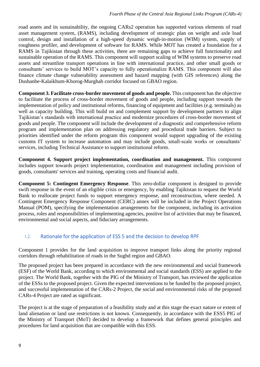road assets and its sustainability, the ongoing CARs2 operation has supported various elements of road asset management system, (RAMS), including development of strategic plan on weight and axle load control, design and installation of a high-speed dynamic weigh-in-motion (WIM) system, supply of roughness profiler, and development of software for RAMS. While MOT has created a foundation for a RAMS in Tajikistan through these activities, there are remaining gaps to achieve full functionality and sustainable operation of the RAMS. This component will support scaling of WIM systems to preserve road assets and streamline transport operations in line with international practice, and other small goods or consultants' services to build MOT's capacity to fully operationalize RAMS. This component will also finance climate change vulnerability assessment and hazard mapping (with GIS references) along the Dushanbe-Kalaikhum-Khorog-Murghab corridor focused on GBAO region.

**Component 3. Facilitate cross-border movement of goods and people.** This component has the objective to facilitate the process of cross-border movement of goods and people, including support towards the implementation of policy and institutional reforms, financing of equipment and facilities (e.g. terminals) as well as capacity building. This will build on and complement support by development partners to align Tajikistan's standards with international practice and modernize procedures of cross-border movement of goods and people. The component will include the development of a diagnostic and comprehensive reform program and implementation plan on addressing regulatory and procedural trade barriers. Subject to priorities identified under the reform program this component would support upgrading of the existing customs IT system to increase automation and may include goods, small-scale works or consultants' services, including Technical Assistance to support institutional reform.

**Component 4. Support project implementation, coordination and management.** This component includes support towards project implementation, coordination and management including provision of goods, consultants' services and training, operating costs and financial audit.

**Component 5: Contingent Emergency Response**. This zero-dollar component is designed to provide swift response in the event of an eligible crisis or emergency, by enabling Tajikistan to request the World Bank to reallocate project funds to support emergency response, and reconstruction, where needed. A Contingent Emergency Response Component (CERC) annex will be included in the Project Operations Manual (POM), specifying the implementation arrangements for the component, including its activation process, roles and responsibilities of implementing agencies, positive list of activities that may be financed, environmental and social aspects, and fiduciary arrangements.

# <span id="page-8-0"></span>I.2. Rationale for the application of ESS 5 and the decision to develop RPF

Component 1 provides for the land acquisition to improve transport links along the priority regional corridors through rehabilitation of roads in the Sughd region and GBAO.

The proposed project has been prepared in accordance with the new environmental and social framework (ESF) of the World Bank, according to which environmental and social standards (ESS) are applied to the project. The World Bank, together with the PIG of the Ministry of Transport, has reviewed the application of the ESSs to the proposed project. Given the expected interventions to be funded by the proposed project, and successful implementation of the CARs-2 Project, the social and environmental risks of the proposed CARs-4 Project are rated as significant.

The project is at the stage of preparation of a feasibility study and at this stage the exact nature or extent of land alienation or land use restrictions is not known. Consequently, in accordance with the ESS5 PIG of the Ministry of Transport (MoT) decided to develop a framework that defines general principles and procedures for land acquisition that are compatible with this ESS.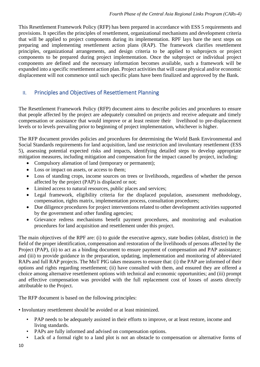<span id="page-9-0"></span>This Resettlement Framework Policy (RFP) has been prepared in accordance with ESS 5 requirements and provisions. It specifies the principles of resettlement, organizational mechanisms and development criteria that will be applied to project components during its implementation. RPF lays bare the next steps on preparing and implementing resettlement action plans (RAP). The framework clarifies resettlement principles, organizational arrangements, and design criteria to be applied to subprojects or project components to be prepared during project implementation. Once the subproject or individual project components are defined and the necessary information becomes available, such a framework will be expanded into a specific resettlement action plan. Project activities that will cause physical and/or economic displacement will not commence until such specific plans have been finalized and approved by the Bank.

# II. Principles and Objectives of Resettlement Planning

The Resettlement Framework Policy (RFP) document aims to describe policies and procedures to ensure that people affected by the project are adequately consulted on projects and receive adequate and timely compensation or assistance that would improve or at least restore their livelihood to pre-displacement levels or to levels prevailing prior to beginning of project implementation, whichever is higher.

The RFP document provides policies and procedures for determining the World Bank Environmental and Social Standards requirements for land acquisition, land use restriction and involuntary resettlement (ESS 5), assessing potential expected risks and impacts, identifying detailed steps to develop appropriate mitigation measures, including mitigation and compensation for the impact caused by project, including:

- Compulsory alienation of land (temporary or permanent);
- Loss or impact on assets, or access to them;
- Loss of standing crops, income sources on trees or livelihoods, regardless of whether the person affected by the project (PAP) is displaced or not;
- Limited access to natural resources, public places and services;
- Legal framework, eligibility criteria for the displaced population, assessment methodology, compensation, rights matrix, implementation process, consultation procedures;
- Due diligence procedures for project interventions related to other development activities supported by the government and other funding agencies;
- Grievance redress mechanisms benefit payment procedures, and monitoring and evaluation procedures for land acquisition and resettlement under this project.

The main objectives of the RPF are: (i) to guide the executive agency, state bodies (oblast, district) in the field of the proper identification, compensation and restoration of the livelihoods of persons affected by the Project (PAP), (ii) to act as a binding document to ensure payment of compensation and PAP assistance; and (iii) to provide guidance in the preparation, updating, implementation and monitoring of abbreviated RAPs and full RAP projects. The MoT PIG takes measures to ensure that: (i) the PAP are informed of their options and rights regarding resettlement; (ii) have consulted with them, and ensured they are offered a choice among alternative resettlement options with technical and economic opportunities; and (iii) prompt and effective compensation was provided with the full replacement cost of losses of assets directly attributable to the Project.

The RFP document is based on the following principles:

• Involuntary resettlement should be avoided or at least minimized.

- PAP needs to be adequately assisted in their efforts to improve, or at least restore, income and living standards.
- PAPs are fully informed and advised on compensation options.
- Lack of a formal right to a land plot is not an obstacle to compensation or alternative forms of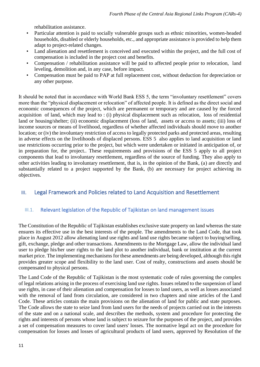rehabilitation assistance.

- Particular attention is paid to socially vulnerable groups such as ethnic minorities, women-headed households, disabled or elderly households, etc., and appropriate assistance is provided to help them adapt to project-related changes.
- Land alienation and resettlement is conceived and executed within the project, and the full cost of compensation is included in the project cost and benefits.
- Compensation / rehabilitation assistance will be paid to affected people prior to relocation, land leveling, demolition and, in any case, before impact.
- Compensation must be paid to PAP at full replacement cost, without deduction for depreciation or any other purpose.

It should be noted that in accordance with World Bank ESS 5, the term "involuntary resettlement" covers more than the "physical displacement or relocation" of affected people. It is defined as the direct social and economic consequences of the project, which are permanent or temporary and are caused by the forced acquisition of land, which may lead to : (i) physical displacement such as relocation, loss of residential land or housing/shelter; (ii) economic displacement (loss of land, assets or access to assets; (iii) loss of income sources or means of livelihood, regardless of whether affected individuals should move to another location; or (iv) the involuntary restriction of access to legally protected parks and protected areas, resulting in adverse effects on the livelihoods of displaced persons. ESS 5 also applies to land acquisition or land use restrictions occurring prior to the project, but which were undertaken or initiated in anticipation of, or in preparation for, the project.. These requirements and provisions of the ESS 5 apply to all project components that lead to involuntary resettlement, regardless of the source of funding. They also apply to other activities leading to involuntary resettlement, that is, in the opinion of the Bank, (a) are directly and substantially related to a project supported by the Bank, (b) are necessary for project achieving its objectives.

# <span id="page-10-1"></span><span id="page-10-0"></span>III. Legal Framework and Policies related to Land Acquisition and Resettlement

# III.1. Relevant legislation of the Republic of Tajikistan on land management issues

The Constitution of the Republic of Tajikistan establishes exclusive state property on land whereas the state ensures its effective use in the best interests of the people. The amendments to the Land Code, that took place in August 2012 allow alienating land use rights and land use rights became subject to buying/selling, gift, exchange, pledge and other transactions. Amendments to the Mortgage Law, allow the individual land user to pledge his/her user rights to the land plot to another individual, bank or institution at the current market price. The implementing mechanisms for these amendments are being developed, although this right provides greater scope and flexibility to the land user. Cost of realty, constructions and assets should be compensated to physical persons.

The Land Code of the Republic of Tajikistan is the most systematic code of rules governing the complex of legal relations arising in the process of exercising land use rights. Issues related to the suspension of land use rights, in case of their alienation and compensation for losses to land users, as well as losses associated with the removal of land from circulation, are considered in two chapters and nine articles of the Land Code. These articles contain the main provisions on the alienation of land for public and state purposes. The Code allows the state to seize land from land users for the needs of projects carried out in the interests of the state and on a national scale, and describes the methods, system and procedure for protecting the rights and interests of persons whose land is subject to seizure for the purposes of the project, and provides a set of compensation measures to cover land users' losses. The normative legal act on the procedure for compensation for losses and losses of agricultural products of land users, approved by Resolution of the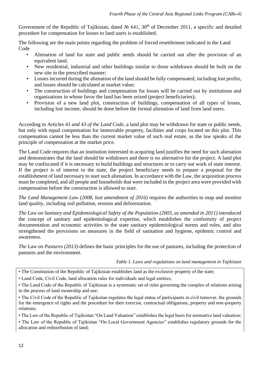Government of the Republic of Tajikistan, dated № 641, 30<sup>th</sup> of December 2011, a specific and detailed procedure for compensation for losses to land users is established.

The following are the main points regarding the problem of forced resettlement indicated in the Land Code

- Alienation of land for state and public needs should be carried out after the provision of an equivalent land;
- New residential, industrial and other buildings similar to those withdrawn should be built on the new site in the prescribed manner;
- Losses incurred during the alienation of the land should be fully compensated, including lost profits, and losses should be calculated at market value;
- The construction of buildings and compensation for losses will be carried out by institutions and organizations in whose favor the land has been seized (project beneficiaries);
- Provision of a new land plot, construction of buildings, compensation of all types of losses, including lost income, should be done before the formal alienation of land from land users.

According to Articles *41 and 43 of the Land Code*, a land plot may be withdrawn for state or public needs, but only with equal compensation for immovable property, facilities and crops located on this plot. This compensation cannot be less than the current market value of such real estate, as the law speaks of the principle of compensation at the market price.

The Land Code requires that an institution interested in acquiring land justifies the need for such alienation and demonstrates that the land should be withdrawn and there is no alternative for the project. A land plot may be confiscated if it is necessary to build buildings and structures or to carry out work of state interest. If the project is of interest to the state, the project beneficiary needs to prepare a proposal for the establishment of land necessary to start such alienation. In accordance with the Law, the acquisition process must be completed, and all people and households that were included in the project area were provided with compensation before the construction is allowed to start.

*The Land Management Law (2008, last amendment of 2016)* requires the authorities to map and monitor land quality, including soil pollution, erosion and deforestation.

*The Law on Sanitary and Epidemiological Safety of the Population (2003, as amended in 2011)* introduced the concept of sanitary and epidemiological expertise, which establishes the conformity of project documentation and economic activities to the state sanitary epidemiological norms and rules, and also strengthened the provisions on measures in the field of sanitation and hygiene, epidemic control and awareness.

*The Law on Pastures (2013)* defines the basic principles for the use of pastures, including the protection of pastures and the environment.

*Table 1. Laws and regulations on land management in Tajikistan* 

• Land Code, Civil Code, land allocation rules for individuals and legal entities;

• The Land Code of the Republic of Tajikistan is a systematic set of rules governing the complex of relations arising in the process of land ownership and use;

• The Civil Code of the Republic of Tajikistan regulates the legal status of participants in civil turnover, the grounds for the emergence of rights and the procedure for their exercise, contractual obligations, property and non-property relations;

• The Law of the Republic of Tajikistan "On Land Valuation" establishes the legal basis for normative land valuation; • The Law of the Republic of Tajikistan "On Local Government Agencies" establishes regulatory grounds for the allocation and redistribution of land;

12

<sup>•</sup> The Constitution of the Republic of Tajikistan establishes land as the exclusive property of the state;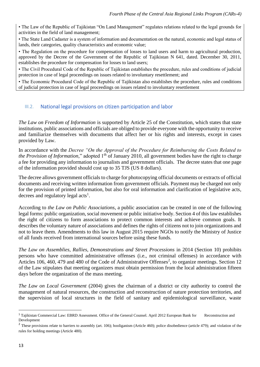• The Law of the Republic of Tajikistan "On Land Management" regulates relations related to the legal grounds for activities in the field of land management;

• The State Land Cadaster is a system of information and documentation on the natural, economic and legal status of lands, their categories, quality characteristics and economic value;

• The Regulation on the procedure for compensation of losses to land users and harm to agricultural production, approved by the Decree of the Government of the Republic of Tajikistan N 641, dated. December 30, 2011, establishes the procedure for compensation for losses to land users;

• The Civil Procedural Code of the Republic of Tajikistan establishes the procedure, rules and conditions of judicial protection in case of legal proceedings on issues related to involuntary resettlement; and

<span id="page-12-0"></span>• The Economic Procedural Code of the Republic of Tajikistan also establishes the procedure, rules and conditions of judicial protection in case of legal proceedings on issues related to involuntary resettlement

# III.2. National legal provisions on citizen participation and labor

*The Law on Freedom of Information* is supported by Article 25 of the Constitution, which states that state institutions, public associations and officials are obliged to provide everyone with the opportunity to receive and familiarize themselves with documents that affect her or his rights and interests, except in cases provided by Law.

In accordance with the *Decree "On the Approval of the Procedure for Reimbursing the Costs Related to the Provision of Information*," adopted 1<sup>th</sup> of January 2010, all government bodies have the right to charge a fee for providing any information to journalists and government officials. The decree states that one page of the information provided should cost up to 35 TJS (US 8 dollars).

The decree allows government officials to charge for photocopying official documents or extracts of official documents and receiving written information from government officials. Payment may be charged not only for the provision of printed information, but also for oral information and clarification of legislative acts, decrees and regulatory legal acts<sup>1</sup>.

According to *the Law on Public Associations*, a public association can be created in one of the following legal forms: public organization, social movement or public initiative body. Section 4 of this law establishes the right of citizens to form associations to protect common interests and achieve common goals. It describes the voluntary nature of associations and defines the rights of citizens not to join organizations and not to leave them. Amendments to this law in August 2015 require NGOs to notify the Ministry of Justice of all funds received from international sources before using these funds.

*The Law on Assemblies, Rallies, Demonstrations and Street Processions* in 2014 (Section 10) prohibits persons who have committed administrative offenses (i.e., not criminal offenses) in accordance with Articles 106, 460, 479 and 480 of the Code of Administrative Offenses<sup>2</sup>, to organize meetings. Section 12 of the Law stipulates that meeting organizers must obtain permission from the local administration fifteen days before the organization of the mass meeting.

*The Law on Local Government* (2004) gives the chairman of a district or city authority to control the management of natural resources, the construction and reconstruction of nature protection territories, and the supervision of local structures in the field of sanitary and epidemiological surveillance, waste

<sup>&</sup>lt;sup>1</sup> Tajikistan Commercial Law: EBRD Assessment. Office of the General Counsel. April 2012 European Bank for Reconstruction and Development

<sup>&</sup>lt;sup>2</sup> These provisions relate to barriers to assembly (art. 106); hooliganism (Article 460); police disobedience (article 479); and violation of the rules for holding meetings (Article 480).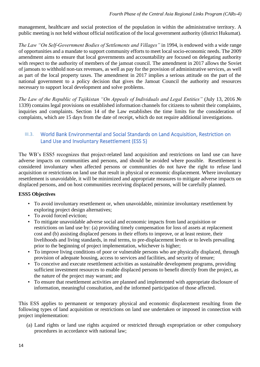management, healthcare and social protection of the population in within the administrative territory. A public meeting is not held without official notification of the local government authority (district Hukumat).

*The Law "On Self-Government Bodies of Settlements and Villages"* in 1994, is endowed with a wide range of opportunities and a mandate to support community efforts to meet local socio-economic needs. The 2009 amendment aims to ensure that local governments and accountability are focused on delegating authority with respect to the authority of members of the jamoat council. The amendment in 2017 allows the Soviet of jamoats to withhold non-tax revenues, as well as pay for the provision of administrative services, as well as part of the local property taxes. The amendment in 2017 implies a serious attitude on the part of the national government to a policy decision that gives the Jamoat Council the authority and resources necessary to support local development and solve problems.

<span id="page-13-0"></span>*The Law of the Republic of Tajikistan "On Appeals of Individuals and Legal Entities"* (July 13, 2016 № 1339) contains legal provisions on established information channels for citizens to submit their complaints, inquiries and complaints. Section 14 of the Law establishes the time limits for the consideration of complaints, which are 15 days from the date of receipt, which do not require additional investigations.

# III.3. World Bank Environmental and Social Standards on Land Acquisition, Restriction on Land Use and Involuntary Resettlement (ESS 5)

The WB's ESS5 recognizes that project-related land acquisition and restrictions on land use can have adverse impacts on communities and persons, and should be avoided where possible. Resettlement is considered involuntary when affected persons or communities do not have the right to refuse land acquisition or restrictions on land use that result in physical or economic displacement. Where involuntary resettlement is unavoidable, it will be minimized and appropriate measures to mitigate adverse impacts on displaced persons, and on host communities receiving displaced persons, will be carefully planned.

# **ESS5 Objectives**

- To avoid involuntary resettlement or, when unavoidable, minimize involuntary resettlement by exploring project design alternatives;
- To avoid forced eviction:
- To mitigate unavoidable adverse social and economic impacts from land acquisition or restrictions on land use by: (a) providing timely compensation for loss of assets at replacement cost and (b) assisting displaced persons in their efforts to improve, or at least restore, their livelihoods and living standards, in real terms, to pre-displacement levels or to levels prevailing prior to the beginning of project implementation, whichever is higher;
- To improve living conditions of poor or vulnerable persons who are physically displaced, through provision of adequate housing, access to services and facilities, and security of tenure;
- To conceive and execute resettlement activities as sustainable development programs, providing sufficient investment resources to enable displaced persons to benefit directly from the project, as the nature of the project may warrant; and
- To ensure that resettlement activities are planned and implemented with appropriate disclosure of information, meaningful consultation, and the informed participation of those affected.

This ESS applies to permanent or temporary physical and economic displacement resulting from the following types of land acquisition or restrictions on land use undertaken or imposed in connection with project implementation:

(a) Land rights or land use rights acquired or restricted through expropriation or other compulsory procedures in accordance with national law;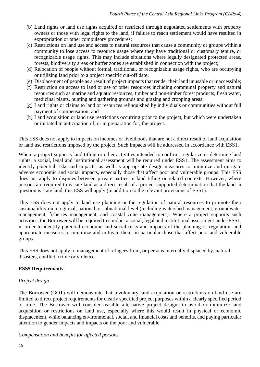- (b) Land rights or land use rights acquired or restricted through negotiated settlements with property owners or those with legal rights to the land, if failure to reach settlement would have resulted in expropriation or other compulsory procedures;
- (c) Restrictions on land use and access to natural resources that cause a community or groups within a community to lose access to resource usage where they have traditional or customary tenure, or recognizable usage rights. This may include situations where legally designated protected areas, forests, biodiversity areas or buffer zones are established in connection with the project;
- (d) Relocation of people without formal, traditional, or recognizable usage rights, who are occupying or utilizing land prior to a project specific cut-off date;
- (e) Displacement of people as a result of project impacts that render their land unusable or inaccessible;
- (f) Restriction on access to land or use of other resources including communal property and natural resources such as marine and aquatic resources, timber and non-timber forest products, fresh water, medicinal plants, hunting and gathering grounds and grazing and cropping areas;
- (g) Land rights or claims to land or resources relinquished by individuals or communities without full payment of compensation; and
- (h) Land acquisition or land use restrictions occurring prior to the project, but which were undertaken or initiated in anticipation of, or in preparation for, the project.

This ESS does not apply to impacts on incomes or livelihoods that are not a direct result of land acquisition or land use restrictions imposed by the project. Such impacts will be addressed in accordance with ESS1.

Where a project supports land titling or other activities intended to confirm, regularize or determine land rights, a social, legal and institutional assessment will be required under ESS1. The assessment aims to identify potential risks and impacts, as well as appropriate design measures to minimize and mitigate adverse economic and social impacts, especially those that affect poor and vulnerable groups. This ESS does not apply to disputes between private parties in land titling or related contexts. However, where persons are required to vacate land as a direct result of a project-supported determination that the land in question is state land, this ESS will apply (in addition to the relevant provisions of ESS1).

This ESS does not apply to land use planning or the regulation of natural resources to promote their sustainability on a regional, national or subnational level (including watershed management, groundwater management, fisheries management, and coastal zone management). Where a project supports such activities, the Borrower will be required to conduct a social, legal and institutional assessment under ESS1, in order to identify potential economic and social risks and impacts of the planning or regulation, and appropriate measures to minimize and mitigate them, in particular those that affect poor and vulnerable groups.

This ESS does not apply to management of refugees from, or persons internally displaced by, natural disasters, conflict, crime or violence.

# **ESS5 Requirements**

## *Project design*

The Borrower (GOT) will demonstrate that involuntary land acquisition or restrictions on land use are limited to direct project requirements for clearly specified project purposes within a clearly specified period of time. The Borrower will consider feasible alternative project designs to avoid or minimize land acquisition or restrictions on land use, especially where this would result in physical or economic displacement, while balancing environmental, social, and financial costs and benefits, and paying particular attention to gender impacts and impacts on the poor and vulnerable.

*Compensation and benefits for affected persons*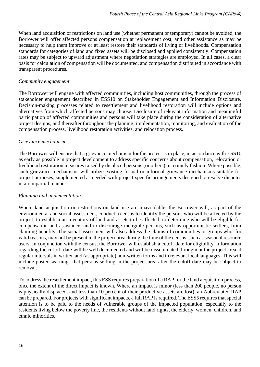When land acquisition or restrictions on land use (whether permanent or temporary) cannot be avoided, the Borrower will offer affected persons compensation at replacement cost, and other assistance as may be necessary to help them improve or at least restore their standards of living or livelihoods. Compensation standards for categories of land and fixed assets will be disclosed and applied consistently. Compensation rates may be subject to upward adjustment where negotiation strategies are employed. In all cases, a clear basis for calculation of compensation will be documented, and compensation distributed in accordance with transparent procedures.

## *Community engagement*

The Borrower will engage with affected communities, including host communities, through the process of stakeholder engagement described in ESS10 on Stakeholder Engagement and Information Disclosure. Decision-making processes related to resettlement and livelihood restoration will include options and alternatives from which affected persons may choose. Disclosure of relevant information and meaningful participation of affected communities and persons will take place during the consideration of alternative project designs, and thereafter throughout the planning, implementation, monitoring, and evaluation of the compensation process, livelihood restoration activities, and relocation process.

## *Grievance mechanism*

The Borrower will ensure that a grievance mechanism for the project is in place, in accordance with ESS10 as early as possible in project development to address specific concerns about compensation, relocation or livelihood restoration measures raised by displaced persons (or others) in a timely fashion. Where possible, such grievance mechanisms will utilize existing formal or informal grievance mechanisms suitable for project purposes, supplemented as needed with project-specific arrangements designed to resolve disputes in an impartial manner.

## *Planning and implementation*

Where land acquisition or restrictions on land use are unavoidable, the Borrower will, as part of the environmental and social assessment, conduct a census to identify the persons who will be affected by the project, to establish an inventory of land and assets to be affected, to determine who will be eligible for compensation and assistance, and to discourage ineligible persons, such as opportunistic settlers, from claiming benefits. The social assessment will also address the claims of communities or groups who, for valid reasons, may not be present in the project area during the time of the census, such as seasonal resource users. In conjunction with the census, the Borrower will establish a cutoff date for eligibility. Information regarding the cut-off date will be well documented and will be disseminated throughout the project area at regular intervals in written and (as appropriate) non-written forms and in relevant local languages. This will include posted warnings that persons settling in the project area after the cutoff date may be subject to removal.

To address the resettlement impact, this ESS requires preparation of a RAP for the land acquisition process, once the extent of the direct impact is known. Where an impact is minor (less than 200 people, no person is physically displaced, and less than 10 percent of their productive assets are lost), an Abbreviated RAP can be prepared. For projects with significant impacts, a full RAP is required. The ESS5 requires that special attention is to be paid to the needs of vulnerable groups of the impacted population, especially to the residents living below the poverty line, the residents without land rights, the elderly, women, children, and ethnic minorities.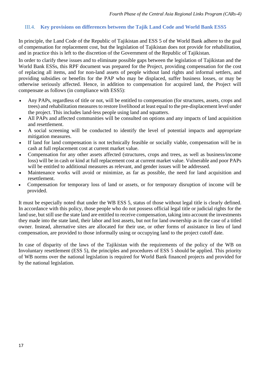## <span id="page-16-0"></span>III.4. **Key provisions on differences between the Tajik Land Code and World Bank ESS5**

In principle, the Land Code of the Republic of Tajikistan and ESS 5 of the World Bank adhere to the goal of compensation for replacement cost, but the legislation of Tajikistan does not provide for rehabilitation, and in practice this is left to the discretion of the Government of the Republic of Tajikistan.

In order to clarify these issues and to eliminate possible gaps between the legislation of Tajikistan and the World Bank ESSs, this RPF document was prepared for the Project, providing compensation for the cost of replacing all items, and for non-land assets of people without land rights and informal settlers, and providing subsidies or benefits for the PAP who may be displaced, suffer business losses, or may be otherwise seriously affected. Hence, in addition to compensation for acquired land, the Project will compensate as follows (in compliance with ESS5):

- Any PAPs, regardless of title or not, will be entitled to compensation (for structures, assets, crops and trees) and rehabilitation measures to restore livelihood at least equal to the pre-displacement level under the project. This includes land-less people using land and squatters.
- All PAPs and affected communities will be consulted on options and any impacts of land acquisition and resettlement.
- A social screening will be conducted to identify the level of potential impacts and appropriate mitigation measures.
- If land for land compensation is not technically feasible or socially viable, compensation will be in cash at full replacement cost at current market value.
- Compensation for any other assets affected (structures, crops and trees, as well as business/income loss) will be in cash or kind at full replacement cost at current market value. Vulnerable and poor PAPs will be entitled to additional measures as relevant, and gender issues will be addressed.
- Maintenance works will avoid or minimize, as far as possible, the need for land acquisition and resettlement.
- Compensation for temporary loss of land or assets, or for temporary disruption of income will be provided.

It must be especially noted that under the WB ESS 5, status of those without legal title is clearly defined. In accordance with this policy, those people who do not possess official legal title or judicial rights for the land use, but still use the state land are entitled to receive compensation, taking into account the investments they made into the state land, their labor and lost assets, but not for land ownership as in the case of a titled owner. Instead, alternative sites are allocated for their use, or other forms of assistance in lieu of land compensation, are provided to those informally using or occupying land to the project cutoff date.

In case of disparity of the laws of the Tajikistan with the requirements of the policy of the WB on Involuntary resettlement (ESS 5), the principles and procedures of ESS 5 should be applied. This priority of WB norms over the national legislation is required for World Bank financed projects and provided for by the national legislation.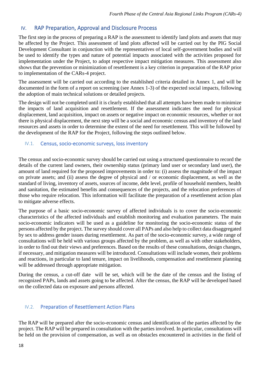# <span id="page-17-0"></span>IV. RAP Preparation, Approval and Disclosure Process

The first step in the process of preparing a RAP is the assessment to identify land plots and assets that may be affected by the Project. This assessment of land plots affected will be carried out by the PIG Social Development Consultant in conjunction with the representatives of local self-government bodies and will be used to identify the types and nature of potential impacts associated with the activities proposed for implementation under the Project, to adopt respective impact mitigation measures. This assessment also shows that the prevention or minimization of resettlement is a key criterion in preparation of the RAP prior to implementation of the CARs-4 project.

The assessment will be carried out according to the established criteria detailed in Annex 1, and will be documented in the form of a report on screening (see Annex 1-3) of the expected social impacts, following the adoption of main technical solutions or detailed projects.

<span id="page-17-1"></span>The design will not be completed until it is clearly established that all attempts have been made to minimize the impacts of land acquisition and resettlement. If the assessment indicates the need for physical displacement, land acquisition, impact on assets or negative impact on economic resources, whether or not there is physical displacement, the next step will be a social and economic census and inventory of the land resources and assets in order to determine the extent of the need for resettlement. This will be followed by the development of the RAP for the Project, following the steps outlined below.

## IV.1. Census, socio-economic surveys, loss inventory

The census and socio-economic survey should be carried out using a structured questionnaire to record the details of the current land owners, their ownership status (primary land user or secondary land user), the amount of land required for the proposed improvements in order to: (i) assess the magnitude of the impact on private assets; and (ii) assess the degree of physical and / or economic displacement, as well as the standard of living, inventory of assets, sources of income, debt level, profile of household members, health and sanitation, the estimated benefits and consequences of the projects, and the relocation preferences of those who require relocation. This information will facilitate the preparation of a resettlement action plan to mitigate adverse effects.

The purpose of a basic socio-economic survey of affected individuals is to cover the socio-economic characteristics of the affected individuals and establish monitoring and evaluation parameters. The main socio-economic indicators will be used as a guideline for monitoring the socio-economic status of the persons affected by the project. The survey should cover all PAPs and also help to collect data disaggregated by sex to address gender issues during resettlement. As part of the socio-economic survey, a wide range of consultations will be held with various groups affected by the problem, as well as with other stakeholders, in order to find out their views and preferences. Based on the results of these consultations, design changes, if necessary, and mitigation measures will be introduced. Consultations will include women, their problems and reactions, in particular to land tenure, impact on livelihoods, compensation and resettlement planning will be addressed through appropriate mitigation.

<span id="page-17-2"></span>During the census, a cut-off date will be set, which will be the date of the census and the listing of recognized PAPs, lands and assets going to be affected. After the census, the RAP will be developed based on the collected data on exposure and persons affected.

# IV.2. Preparation of Resettlement Action Plans

The RAP will be prepared after the socio-economic census and identification of the parties affected by the project. The RAP will be prepared in consultation with the parties involved. In particular, consultations will be held on the provision of compensation, as well as on obstacles encountered in activities in the field of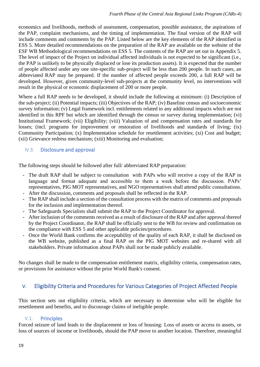economics and livelihoods, methods of assessment, compensation, possible assistance, the aspirations of the PAP, complaint mechanisms, and the timing of implementation. The final version of the RAP will include comments and comments by the PAP. Listed below are the key elements of the RAP identified in ESS 5. More detailed recommendations on the preparation of the RAP are available on the website of the ESF WB Methodological recommendations on ESS 5. The contents of the RAP are set out in Appendix 5. The level of impact of the Project on individual affected individuals is not expected to be significant (i.e., the PAP is unlikely to be physically displaced or lose its production assets). It is expected that the number of people affected under any one site-specific sub-project will be less than 200 people. In such cases, an abbreviated RAP may be prepared. If the number of affected people exceeds 200, a full RAP will be developed. However, given community-level sub-projects at the community level, no interventions will result in the physical or economic displacement of 200 or more people.

Where a full RAP needs to be developed, it should include the following at minimum: (i) Description of the sub-project; (ii) Potential impacts; (iii) Objectives of the RAP; (iv) Baseline census and socioeconomic survey information; (v) Legal framework incl. entitlements related to any additional impacts which are not identified in this RPF but which are identified through the census or survey during implementation; (vi) Institutional Framework; (vii) Eligibility; (viii) Valuation of and compensation rates and standards for losses; (incl. programs for improvement or restoration of livelihoods and standards of living; (ix) Community Participation; (x) Implementation schedule for resettlement activities; (xi) Cost and budget; (xii) Grievance redress mechanism; (xiii) Monitoring and evaluation;

## <span id="page-18-0"></span>IV.3. Disclosure and approval

The following steps should be followed after full/ abbreviated RAP preparation:

- The draft RAP shall be subject to consultation with PAPs who will receive a copy of the RAP in language and format adequate and accessible to them a week before the discussion. PAPs' representatives, PIG MOT representatives, and NGO representatives shall attend public consultations.
- After the discussion, comments and proposals shall be reflected in the RAP.
- The RAP shall include a section of the consultation process with the matrix of comments and proposals for the inclusion and implementation thereof.
- The Safeguards Specialists shall submit the RAP to the Project Coordinator for approval.
- After inclusion of the comments received as a result of disclosure of the RAP and after approval thereof by the Project Coordinator, the RAP shall be officially sent to the WB for review and confirmation on the compliance with ESS 5 and other applicable policies/procedures.
- Once the World Bank confirms the acceptability of the quality of each RAP, it shall be disclosed on the WB website, published as a final RAP on the PIG MOT websites and re-shared with all stakeholders. Private information about PAPs shall not be made publicly available.

<span id="page-18-1"></span>No changes shall be made to the compensation entitlement matrix, eligibility criteria, compensation rates, or provisions for assistance without the prior World Bank's consent.

# V. Eligibility Criteria and Procedures for Various Categories of Project Affected People

<span id="page-18-2"></span>This section sets out eligibility criteria, which are necessary to determine who will be eligible for resettlement and benefits, and to discourage claims of ineligible people.

## V.1. Principles

Forced seizure of land leads to the displacement or loss of housing: Loss of assets or access to assets, or loss of sources of income or livelihoods, should the PAP move to another location. Therefore, meaningful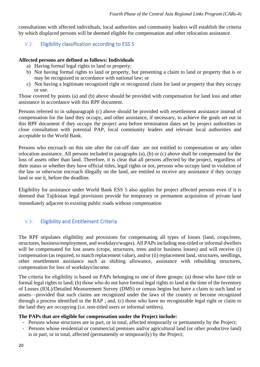<span id="page-19-0"></span>consultations with affected individuals, local authorities and community leaders will establish the criteria by which displaced persons will be deemed eligible for compensation and other relocation assistance.

# V.2. Eligibility classification according to ESS 5

## **Affected persons are defined as follows: Individuals**

- a) Having formal legal rights to land or property;
- b) Not having formal rights to land or property, but presenting a claim to land or property that is or may be recognized in accordance with national law; or
- c) Not having a legitimate recognized right or recognized claim for land or property that they occupy or use.

Those covered by points (a) and (b) above should be provided with compensation for land loss and other assistance in accordance with this RPF document.

Persons referred to in subparagraph (c) above should be provided with resettlement assistance instead of compensation for the land they occupy, and other assistance, if necessary, to achieve the goals set out in this RPF document if they occupy the project area before termination dates set by project authorities in close consultation with potential PAP, local community leaders and relevant local authorities and acceptable to the World Bank.

Persons who encroach on this site after the cut-off date are not entitled to compensation or any other relocation assistance. All persons included in paragraphs (a), (b) or (c) above shall be compensated for the loss of assets other than land. Therefore, it is clear that all persons affected by the project, regardless of their status or whether they have official titles, legal rights or not, persons who occupy land in violation of the law or otherwise encroach illegally on the land, are entitled to receive any assistance if they occupy land or use it, before the deadline.

<span id="page-19-1"></span>Eligibility for assistance under World Bank ESS 5 also applies for project affected persons even if it is deemed that Tajikistan legal provisions provide for temporary or permanent acquisition of private land immediately adjacent to existing public roads without compensation

# V.3. Eligibility and Entitlement Criteria

The RPF stipulates eligibility and provisions for compensating all types of losses (land, crops/trees, structures, business/employment, and workdays/wages). All PAPs including non-titled or informal dwellers will be compensated for lost assets (crops, structures, trees and/or business losses) and will receive (i) compensation (as required, to match replacement value), and/or (ii) replacement land, structures, seedlings, other resettlement assistance such as shifting allowance, assistance with rebuilding structures, compensation for loss of workdays/income.

The criteria for eligibility is based on PAPs belonging to one of three groups: (a) those who have title or formal legal rights to land; (b) those who do not have formal legal rights to land at the time of the Inventory of Losses (IOL)/Detailed Measurement Survey (DMS) or census begins but have a claim to such land or assets—provided that such claims are recognized under the laws of the country or become recognized through a process identified in the RAP ; and, (c) those who have no recognizable legal right or claim to the land they are occupying (i.e. non-titled users or informal settlers).

#### **The PAPs that are eligible for compensation under the Project include:**

- Persons whose structures are in part, or in total, affected temporarily or permanently by the Project;
- Persons whose residential or commercial premises and/or agricultural land (or other productive land) is in part, or in total, affected (permanently or temporarily) by the Project;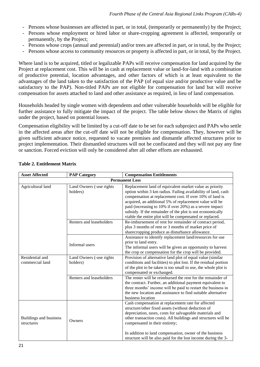- Persons whose businesses are affected in part, or in total, (temporarily or permanently) by the Project;
- Persons whose employment or hired labor or share-cropping agreement is affected, temporarily or permanently, by the Project;
- Persons whose crops (annual and perennial) and/or trees are affected in part, or in total, by the Project;
- Persons whose access to community resources or property is affected in part, or in total, by the Project.

Where land is to be acquired, titled or legalizable PAPs will receive compensation for land acquired by the Project at replacement cost. This will be in cash at replacement value or land-for-land with a combination of productive potential, location advantages, and other factors of which is at least equivalent to the advantages of the land taken to the satisfaction of the PAP (of equal size and/or productive value and be satisfactory to the PAP). Non-titled PAPs are not eligible for compensation for land but will receive compensation for assets attached to land and other assistance as required, in lieu of land compensation.

Households headed by single women with dependents and other vulnerable households will be eligible for further assistance to fully mitigate the impact of the project. The table below shows the Matrix of rights under the project, based on potential losses.

Compensation eligibility will be limited by a cut-off date to be set for each subproject and PAPs who settle in the affected areas after the cut-off date will not be eligible for compensation. They, however will be given sufficient advance notice, requested to vacate premises and dismantle affected structures prior to project implementation. Their dismantled structures will not be confiscated and they will not pay any fine or sanction. Forced eviction will only be considered after all other efforts are exhausted.

| <b>Asset Affected</b>                | <b>Compensation Entitlements</b>     |                                                                                                                                                                                                                                                                                                                                                                                                                                    |  |  |  |
|--------------------------------------|--------------------------------------|------------------------------------------------------------------------------------------------------------------------------------------------------------------------------------------------------------------------------------------------------------------------------------------------------------------------------------------------------------------------------------------------------------------------------------|--|--|--|
| <b>Permanent Loss</b>                |                                      |                                                                                                                                                                                                                                                                                                                                                                                                                                    |  |  |  |
| Agricultural land                    | Land Owners (-use rights<br>holders) | Replacement land of equivalent market value as priority<br>option within 3 km radius. Failing availability of land, cash<br>compensation at replacement cost. If over 10% of land is<br>acquired, an additional 5% of replacement value will be<br>paid (increasing to 10% if over 20%) as a severe impact<br>subsidy. If the remainder of the plot is not economically<br>viable the entire plot will be compensated or replaced. |  |  |  |
|                                      | Renters and leaseholders             | Re-imbursement of rent for remainder of contract period,<br>plus 3 months of rent or 3 months of market price of<br>sharecropping produce as disturbance allowance.                                                                                                                                                                                                                                                                |  |  |  |
|                                      | Informal users                       | Assistance to identify replacement land/resources for use<br>prior to land entry.<br>The informal users will be given an opportunity to harvest<br>the crop or compensation for the crop will be provided.                                                                                                                                                                                                                         |  |  |  |
| Residential and<br>commercial land   | Land Owners (-use rights<br>holders) | Provision of alternative land plot of equal value (similar<br>conditions and facilities) to plot lost. If the residual portion<br>of the plot to be taken is too small to use, the whole plot is<br>compensated or exchanged.                                                                                                                                                                                                      |  |  |  |
|                                      | Renters and leaseholders             | The renter will be reimbursed the rent for the remainder of<br>the contract. Further, an additional payment equivalent to<br>three months' income will be paid to restart the business in<br>the new location and assistance to find suitable alternative<br>business location                                                                                                                                                     |  |  |  |
| Buildings and business<br>structures | Owners                               | Cash compensation at replacement rate for affected<br>structure/other fixed assets (without deduction of<br>depreciation, taxes, costs for salvageable materials and<br>other transaction costs). All buildings and structures will be<br>compensated in their entirety;<br>In addition to land compensation, owner of the business<br>structure will be also paid for the lost income during the 3-                               |  |  |  |

#### **Table 2. Entitlement Matrix**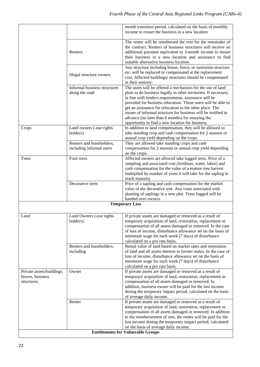|                                                             |                                                       | month transition period, calculated on the basis of monthly<br>income to restart the business in a new location                                                                                                                                                                                                                                                                                                                                                                              |  |  |
|-------------------------------------------------------------|-------------------------------------------------------|----------------------------------------------------------------------------------------------------------------------------------------------------------------------------------------------------------------------------------------------------------------------------------------------------------------------------------------------------------------------------------------------------------------------------------------------------------------------------------------------|--|--|
|                                                             | Renters                                               | The renter will be reimbursed the rent for the remainder of<br>the contract. Renters of business structures will receive an<br>additional payment equivalent to 3-month income to restart<br>their business in a new location and assistance to find<br>suitable alternative business location.                                                                                                                                                                                              |  |  |
|                                                             | Illegal structure owners                              | Any structure including house, fence, or sanitation structure<br>etc. will be replaced or compensated at the replacement<br>cost. Affected buildings/ structures should be compensated<br>in their entirety.                                                                                                                                                                                                                                                                                 |  |  |
|                                                             | Informal business structures<br>along the road        | The users will be offered a mechanism for the use of land<br>plots to do business legally in other territories. If necessary,<br>in line with lenders requirements, assistance will be<br>provided for business relocation. These users will be able to<br>get an assistance for relocation to the other place. The<br>owner of informal structure for business will be notified in<br>advance (no later than 6 months) for ensuring the<br>opportunity to find a new location for business. |  |  |
| Crops                                                       | Land owners (-use rights<br>holders)                  | In addition to land compensation, they will be allowed to<br>take standing crop and cash compensation for 2 seasons or<br>annual crop yield depending on the crops.                                                                                                                                                                                                                                                                                                                          |  |  |
|                                                             | Renters and leaseholders,<br>including informal users | They are allowed take standing crops and cash<br>compensation for 2 seasons or annual crop yield depending<br>on the crops.                                                                                                                                                                                                                                                                                                                                                                  |  |  |
| Trees                                                       | Fruit trees                                           | Affected owners are allowed take logged trees. Price of a<br>sampling and associated cost (fertilizer, water, labor) and<br>cash compensation for the value of a mature tree harvest<br>multiplied by number of years it will take for the sapling to<br>reach maturity                                                                                                                                                                                                                      |  |  |
|                                                             | Decorative trees                                      | Price of a sapling and cash compensation for the market<br>value of the decorative tree. Any costs associated with<br>planting of saplings in a new plot. Trees logged will be<br>handed over owners                                                                                                                                                                                                                                                                                         |  |  |
|                                                             |                                                       | <b>Temporary Loss</b>                                                                                                                                                                                                                                                                                                                                                                                                                                                                        |  |  |
| Land                                                        | Land Owners (-use rights<br>holders)                  | If private assets are damaged or removed as a result of<br>temporary acquisition of land, restoration, replacement or<br>compensation of all assets damaged or removed. In the case<br>of loss of income, disturbance allowance set on the basis of<br>minimum wage for each week (7 days) of disturbance<br>calculated on a pro rata basis.                                                                                                                                                 |  |  |
|                                                             | Renters and leaseholders,<br>including                | Rental value of land based on market rates and restoration<br>of land and all assets thereon to former status. In the case of<br>loss of income, disturbance allowance set on the basis of<br>minimum wage for each week (7 days) of disturbance<br>calculated on a pro rata basis.                                                                                                                                                                                                          |  |  |
| Private assets/buildings,<br>fences, business<br>structures | Owner                                                 | If private assets are damaged or removed as a result of<br>temporary acquisition of land, restoration, replacement or<br>compensation of all assets damaged or removed. In<br>addition, business owner will be paid for the lost income<br>during the temporary impact period, calculated on the basis<br>of average daily income.                                                                                                                                                           |  |  |
|                                                             | Renter                                                | If private assets are damaged or removed as a result of<br>temporary acquisition of land, restoration, replacement or<br>compensation of all assets damaged or removed. In addition<br>to the reimbursement of rent, the renter will be paid for the<br>lost income during the temporary impact period, calculated<br>on the basis of average daily income.                                                                                                                                  |  |  |
| <b>Entitlements for Vulnerable Groups</b>                   |                                                       |                                                                                                                                                                                                                                                                                                                                                                                                                                                                                              |  |  |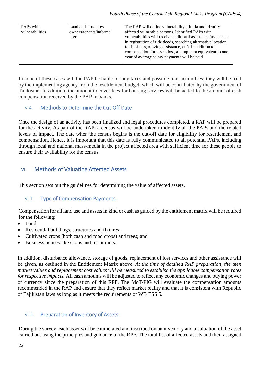| PAPs with                                  | Land and structures | The RAP will define vulnerability criteria and identify        |
|--------------------------------------------|---------------------|----------------------------------------------------------------|
| vulnerabilities<br>owners/tenants/informal |                     | affected vulnerable persons. Identified PAPs with              |
|                                            | users               | vulnerabilities will receive additional assistance (assistance |
|                                            |                     | in registration of title deeds, searching alternative location |
|                                            |                     | for business, moving assistance, etc). In addition to          |
|                                            |                     | compensation for assets lost, a lump-sum equivalent to one     |
|                                            |                     | year of average salary payments will be paid.                  |
|                                            |                     |                                                                |

<span id="page-22-0"></span>In none of these cases will the PAP be liable for any taxes and possible transaction fees; they will be paid by the implementing agency from the resettlement budget, which will be contributed by the government of Tajikistan. In addition, the amount to cover fees for banking services will be added to the amount of cash compensation received by the PAP in banks.

# V.4. Methods to Determine the Cut-Off Date

<span id="page-22-1"></span>Once the design of an activity has been finalized and legal procedures completed, a RAP will be prepared for the activity. As part of the RAP, a census will be undertaken to identify all the PAPs and the related levels of impact. The date when the census begins is the cut-off date for eligibility for resettlement and compensation. Hence, it is important that this date is fully communicated to all potential PAPs, including through local and national mass-media in the project affected area with sufficient time for these people to ensure their availability for the census.

# <span id="page-22-2"></span>VI. Methods of Valuating Affected Assets

This section sets out the guidelines for determining the value of affected assets.

# VI.1. Type of Compensation Payments

Compensation for all land use and assets in kind or cash as guided by the entitlement matrix will be required for the following:

- Land;
- Residential buildings, structures and fixtures;
- Cultivated crops (both cash and food crops) and trees; and
- Business houses like shops and restaurants.

In addition, disturbance allowance, storage of goods, replacement of lost services and other assistance will be given, as outlined in the Entitlement Matrix above. *At the time of detailed RAP preparation, the then market values and replacement cost values will be measured to establish the applicable compensation rates for respective impacts.* All cash amounts will be adjusted to reflect any economic changes and buying power of currency since the preparation of this RPF. The MoT/PIG will evaluate the compensation amounts recommended in the RAP and ensure that they reflect market reality and that it is consistent with Republic of Tajikistan laws as long as it meets the requirements of WB ESS 5.

# <span id="page-22-3"></span>VI.2. Preparation of Inventory of Assets

During the survey, each asset will be enumerated and inscribed on an inventory and a valuation of the asset carried out using the principles and guidance of the RPF. The total list of affected assets and their assigned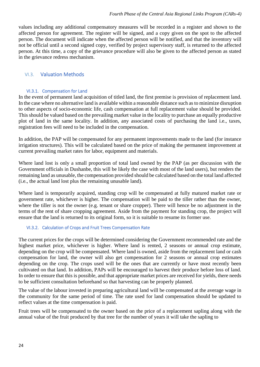values including any additional compensatory measures will be recorded in a register and shown to the affected person for agreement. The register will be signed, and a copy given on the spot to the affected person. The document will indicate when the affected person will be notified, and that the inventory will not be official until a second signed copy, verified by project supervisory staff, is returned to the affected person. At this time, a copy of the grievance procedure will also be given to the affected person as stated in the grievance redress mechanism.

## <span id="page-23-1"></span><span id="page-23-0"></span>VI.3. Valuation Methods

## VI.3.1. Compensation for Land

In the event of permanent land acquisition of titled land, the first premise is provision of replacement land. In the case where no alternative land is available within a reasonable distance such as to minimize disruption to other aspects of socio-economic life, cash compensation at full replacement value should be provided. This should be valued based on the prevailing market value in the locality to purchase an equally productive plot of land in the same locality. In addition, any associated costs of purchasing the land i.e., taxes, registration fees will need to be included in the compensation.

In addition, the PAP will be compensated for any permanent improvements made to the land (for instance irrigation structures). This will be calculated based on the price of making the permanent improvement at current prevailing market rates for labor, equipment and materials.

Where land lost is only a small proportion of total land owned by the PAP (as per discussion with the Government officials in Dushanbe, this will be likely the case with most of the land users), but renders the remaining land as unusable, the compensation provided should be calculated based on the total land affected (i.e., the actual land lost plus the remaining unusable land).

<span id="page-23-2"></span>Where land is temporarily acquired, standing crop will be compensated at fully matured market rate or government rate, whichever is higher. The compensation will be paid to the tiller rather than the owner, where the tiller is not the owner (e.g. tenant or share cropper). There will hence be no adjustment in the terms of the rent of share cropping agreement. Aside from the payment for standing crop, the project will ensure that the land is returned to its original form, so it is suitable to resume its former use.

## VI.3.2. Calculation of Crops and Fruit Trees Compensation Rate

The current prices for the crops will be determined considering the Government recommended rate and the highest market price, whichever is higher. Where land is rented, 2 seasons or annual crop estimate, depending on the crop will be compensated. Where land is owned, aside from the replacement land or cash compensation for land, the owner will also get compensation for 2 seasons or annual crop estimates depending on the crop. The crops used will be the ones that are currently or have most recently been cultivated on that land. In addition, PAPs will be encouraged to harvest their produce before loss of land. In order to ensure that this is possible, and that appropriate market prices are received for yields, there needs to be sufficient consultation beforehand so that harvesting can be properly planned.

The value of the labour invested in preparing agricultural land will be compensated at the average wage in the community for the same period of time. The rate used for land compensation should be updated to reflect values at the time compensation is paid.

Fruit trees will be compensated to the owner based on the price of a replacement sapling along with the annual value of the fruit produced by that tree for the number of years it will take the sapling to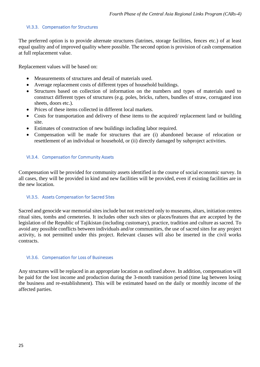## <span id="page-24-0"></span>VI.3.3. Compensation for Structures

The preferred option is to provide alternate structures (latrines, storage facilities, fences etc.) of at least equal quality and of improved quality where possible. The second option is provision of cash compensation at full replacement value.

Replacement values will be based on:

- Measurements of structures and detail of materials used.
- Average replacement costs of different types of household buildings.
- Structures based on collection of information on the numbers and types of materials used to construct different types of structures (e.g. poles, bricks, rafters, bundles of straw, corrugated iron sheets, doors etc.).
- Prices of these items collected in different local markets.
- Costs for transportation and delivery of these items to the acquired/ replacement land or building site.
- Estimates of construction of new buildings including labor required.
- <span id="page-24-1"></span>• Compensation will be made for structures that are (i) abandoned because of relocation or resettlement of an individual or household, or (ii) directly damaged by subproject activities.

## VI.3.4. Compensation for Community Assets

<span id="page-24-2"></span>Compensation will be provided for community assets identified in the course of social economic survey. In all cases, they will be provided in kind and new facilities will be provided, even if existing facilities are in the new location.

#### VI.3.5. Assets Compensation for Sacred Sites

Sacred and genocide war memorial sites include but not restricted only to museums, altars, initiation centres ritual sites, tombs and cemeteries. It includes other such sites or places/features that are accepted by the legislation of the Republic of Tajikistan (including customary), practice, tradition and culture as sacred. To avoid any possible conflicts between individuals and/or communities, the use of sacred sites for any project activity, is not permitted under this project. Relevant clauses will also be inserted in the civil works contracts.

#### <span id="page-24-3"></span>VI.3.6. Compensation for Loss of Businesses

Any structures will be replaced in an appropriate location as outlined above. In addition, compensation will be paid for the lost income and production during the 3-month transition period (time lag between losing the business and re-establishment). This will be estimated based on the daily or monthly income of the affected parties.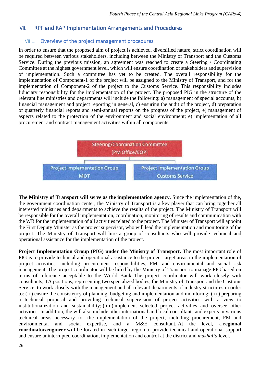# <span id="page-25-1"></span><span id="page-25-0"></span>VII. RPF and RAP Implementation Arrangements and Procedures

# VII.1. Overview of the project management procedures

In order to ensure that the proposed aim of project is achieved, diversified nature, strict coordination will be required between various stakeholders, including between the Ministry of Transport and the Customs Service. During the previous mission, an agreement was reached to create a Steering / Coordinating Committee at the highest government level, which will ensure coordination of stakeholders and supervision of implementation. Such a committee has yet to be created. The overall responsibility for the implementation of Component-1 of the project will be assigned to the Ministry of Transport, and for the implementation of Component-2 of the project to the Customs Service. This responsibility includes fiduciary responsibility for the implementation of the project. The proposed PIG in the structure of the relevant line ministries and departments will include the following: a) management of special accounts, b) financial management and project reporting in general, c) ensuring the audit of the project, d) preparation of quarterly financial reports and semi-annual reports on the progress of the project, e) management of aspects related to the protection of the environment and social environment; e) implementation of all procurement and contract management activities within all components.



**The Ministry of Transport will serve as the implementation agency.** Since the implementation of the, the government coordination center, the Ministry of Transport is a key player that can bring together all interested ministries and departments to achieve the results of the project. The Ministry of Transport will be responsible for the overall implementation, coordination, monitoring of results and communication with the WB for the implementation of all activities related to the project. The Minister of Transport will appoint the First Deputy Minister as the project supervisor, who will lead the implementation and monitoring of the project. The Ministry of Transport will hire a group of consultants who will provide technical and operational assistance for the implementation of the project.

**Project Implementation Group (PIG) under the Ministry of Transport.** The most important role of PIG is to provide technical and operational assistance to the project target areas in the implementation of project activities, including procurement responsibilities, FM, and environmental and social risk management. The project coordinator will be hired by the Ministry of Transport to manage PIG based on terms of reference acceptable to the World Bank. The project coordinator will work closely with consultants, TA positions, representing two specialized bodies, the Ministry of Transport and the Customs Service, to work closely with the management and all relevant departments of industry structures in order to: ( i ) ensure the consistency of planning, budgeting and implementation and monitoring; ( ii ) preparing a technical proposal and providing technical supervision of project activities with a view to institutionalization and sustainability; ( iii ) implement selected project activities and oversee other activities. In addition, the will also include other international and local consultants and experts in various technical areas necessary for the implementation of the project, including procurement, FM and environmental and social expertise, and a M&E consultant. At the level, a **regional coordinator/engineer** will be located in each target region to provide technical and operational support and ensure uninterrupted coordination, implementation and control at the district and *makhalla* level*.*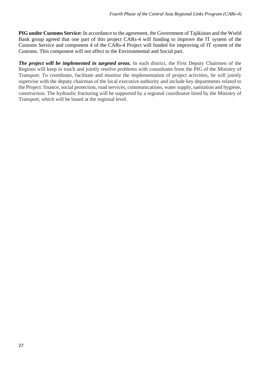**PIG under Customs Service:** In accordance to the agreement, the Government of Tajikistan and the World Bank group agreed that one part of this project CARs-4 will funding to improve the IT system of the Customs Service and component 4 of the CARs-4 Project will funded for improving of IT system of the Customs. This component will not affect to the Environmental and Social part.

*The project will be implemented in targeted areas.* In each district, the First Deputy Chairmen of the Regions will keep in touch and jointly resolve problems with consultants from the PIG of the Ministry of Transport. To coordinate, facilitate and monitor the implementation of project activities, he will jointly supervise with the deputy chairman of the local executive authority and include key departments related to the Project: finance, social protection, road services, communications, water supply, sanitation and hygiene, construction. The hydraulic fracturing will be supported by a regional coordinator hired by the Ministry of Transport, which will be based at the regional level.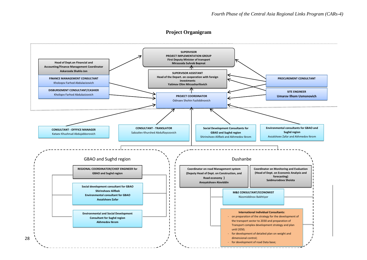#### **Project Organigram**

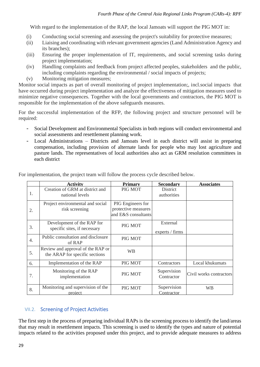With regard to the implementation of the RAP, the local Jamoats will support the PIG MOT in:

- (i) Conducting social screening and assessing the project's suitability for protective measures;
- (ii) Liaising and coordinating with relevant government agencies (Land Administration Agency and its branches);
- (iii) Ensuring the proper implementation of IT, requirements, and social screening tasks during project implementation;
- (iv) Handling complaints and feedback from project affected peoples, stakeholders and the public, including complaints regarding the environmental / social impacts of projects;
- (v) Monitoring mitigation measures;

Monitor social impacts as part of overall monitoring of project implementation;, incl.social impacts that have occurred during project implementation and analyze the effectiveness of mitigation measures used to minimize negative consequences. Together with the local governments and contractors, the PIG MOT is responsible for the implementation of the above safeguards measures.

For the successful implementation of the RFP, the following project and structure personnel will be required:

- Social Development and Environmental Specialists in both regions will conduct environmental and social assessments and resettlement planning work.
- Local Administrations Districts and Jamoats level in each district will assist in preparing compensation, including provision of alternate lands for people who may lost agriculture and pasture lands. The representatives of local authorities also act as GRM resolution committees in each district

|                  | <b>Activity</b>                                                     | <b>Primary</b>                                                  | <b>Secondary</b>            | <b>Associates</b>       |
|------------------|---------------------------------------------------------------------|-----------------------------------------------------------------|-----------------------------|-------------------------|
| 1.               | Creation of GRM at district and<br>national levels                  | PIG MOT                                                         | District<br>authorities     |                         |
| 2.               | Project environmental and social<br>risk screening                  | PIG Engineers for<br>protective measures<br>and E&S consultants |                             |                         |
| 3.               | Development of the RAP for<br>specific sites, if necessary          | PIG MOT                                                         | External<br>experts / firms |                         |
| $\overline{4}$ . | Public consultation and disclosure<br>of RAP                        | PIG MOT                                                         |                             |                         |
| 5.               | Review and approval of the RAP or<br>the ARAP for specific sections | <b>WB</b>                                                       |                             |                         |
| 6.               | Implementation of the RAP                                           | PIG MOT                                                         | Contractors                 | Local khukumats         |
| 7.               | Monitoring of the RAP<br>implementation                             | PIG MOT                                                         | Supervision<br>Contractor   | Civil works contractors |
| 8.               | Monitoring and supervision of the<br>project                        | PIG MOT                                                         | Supervision<br>Contractor   | <b>WB</b>               |

For implementation, the project team will follow the process cycle described below.

# <span id="page-28-0"></span>VII.2. Screening of Project Activities

The first step in the process of preparing individual RAPs is the screening process to identify the land/areas that may result in resettlement impacts. This screening is used to identify the types and nature of potential impacts related to the activities proposed under this project, and to provide adequate measures to address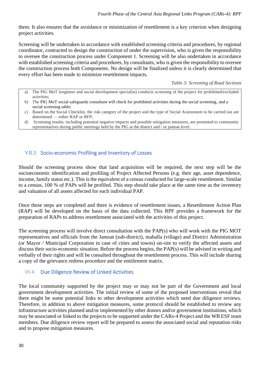them. It also ensures that the avoidance or minimization of resettlement is a key criterion when designing project activities.

Screening will be undertaken in accordance with established screening criteria and procedures, by regional coordinator, contracted to design the construction of under the supervision, who is given the responsibility to oversee the construction process under Component 1. Screening will be also undertaken in accordance with established screening criteria and procedures, by consultants, who is given the responsibility to oversee the construction process both Components. No design will be finalized unless it is clearly determined that every effort has been made to minimize resettlement impacts.

*Table 3: Screening of Road Sections*

- a) The PIG MoT (engineer and social development specialist) conducts screening of the project for prohibited/excluded activities;
- b) The PIG MoT social safeguards consultant will check for prohibited activities during the social screening, and a social screening table;
- c) Based on the Social Checklist, the risk category of the project and the type of Social Assessment to be carried out are determined — either RAP or RFP;
- <span id="page-29-0"></span>d) Screening results, including potential negative impacts and possible mitigation measures, are presented to community representatives during public meetings held by the PIG at the district and / or jamoat level.

## VII.3. Socio-economic Profiling and Inventory of Losses

Should the screening process show that land acquisition will be required, the next step will be the socioeconomic identification and profiling of Project Affected Persons (e.g. their age, asset dependence, income, family status etc.). This is the equivalent of a census conducted for large-scale resettlement. Similar to a census, 100 % of PAPs will be profiled. This step should take place at the same time as the inventory and valuation of all assets affected for each individual PAP.

Once these steps are completed and there is evidence of resettlement issues, a Resettlement Action Plan (RAP) will be developed on the basis of the data collected. This RPF provides a framework for the preparation of RAPs to address resettlement associated with the activities of this project.

<span id="page-29-1"></span>The screening process will involve direct consultation with the PAP(s) who will work with the PIG MOT representatives and officials from the Jamoat (sub-district), mahalla (village) and District Administration (or Mayor / Municipal Corporation in case of cities and towns) on-site to verify the affected assets and discuss their socio-economic situation. Before the process begins, the PAP(s) will be advised in writing and verbally of their rights and will be consulted throughout the resettlement process. This will include sharing a copy of the grievance redress procedure and the entitlement matrix.

## VII.4. Due Diligence Review of Linked Activities

The local community supported by the project may or may not be part of the Government and local government development activities. The initial review of some of the proposed interventions reveal that there might be some potential links to other development activities which need due diligence reviews. Therefore, in addition to above mitigation measures, some protocol should be established to review any infrastructure activities planned and/or implemented by other donors and/or government institutions, which may be associated or linked to the projects to be supported under the CARs-4 Project and the WB ESF team members. Due diligence review report will be prepared to assess the associated social and reputation risks and to propose mitigation measures.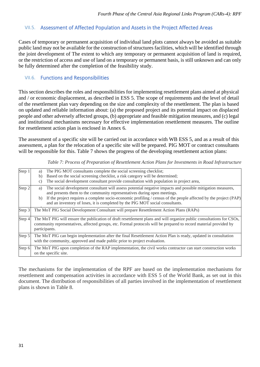# <span id="page-30-0"></span>VII.5. Assessment of Affected Population and Assets in the Project Affected Areas

<span id="page-30-1"></span>Cases of temporary or permanent acquisition of individual land plots cannot always be avoided as suitable public land may not be available for the construction of structures facilities, which will be identified through the joint development of The extent to which any temporary or permanent acquisition of land is required, or the restriction of access and use of land on a temporary or permanent basis, is still unknown and can only be fully determined after the completion of the feasibility study.

## VII.6. Functions and Responsibilities

This section describes the roles and responsibilities for implementing resettlement plans aimed at physical and / or economic displacement, as described in ESS 5. The scope of requirements and the level of detail of the resettlement plan vary depending on the size and complexity of the resettlement. The plan is based on updated and reliable information about: (a) the proposed project and its potential impact on displaced people and other adversely affected groups, (b) appropriate and feasible mitigation measures, and (c) legal and institutional mechanisms necessary for effective implementation resettlement measures. The outline for resettlement action plan is enclosed in Annex 6.

The assessment of a specific site will be carried out in accordance with WB ESS 5, and as a result of this assessment, a plan for the relocation of a specific site will be prepared. PIG MOT or contract consultants will be responsible for this. Table 7 shows the progress of the developing resettlement action plans:

*Table 7: Process of Preparation of Resettlement Action Plans for Investments in Road Infrastructure*

| Step 1 | The PIG MOT consultants complete the social screening checklist;<br>a)<br>Based on the social screening checklist, a risk category will be determined;<br>b)<br>The social development consultant provide consultation with population in project area,<br>$\mathcal{C}$ )                                                                                                                           |  |  |  |
|--------|------------------------------------------------------------------------------------------------------------------------------------------------------------------------------------------------------------------------------------------------------------------------------------------------------------------------------------------------------------------------------------------------------|--|--|--|
| Step 2 | The social development consultant will assess potential negative impacts and possible mitigation measures,<br>a)<br>and presents them to the community representatives during open meetings.<br>b) If the project requires a complete socio-economic profiling / census of the people affected by the project (PAP)<br>and an inventory of loses, it is completed by the PIG MOT social consultants. |  |  |  |
| Step 3 | The MoT PIG Social Development Consultant will prepare Resettlement Action Plans (RAPs)                                                                                                                                                                                                                                                                                                              |  |  |  |
| Step 4 | The MoT PIG will ensure the publication of draft resettlement plans and will organize public consultations for CSOs,<br>community representatives, affected groups, etc. Formal protocols will be prepared to record material provided by<br>participants.                                                                                                                                           |  |  |  |
| Step 5 | The MoT PIG can begin implementation after the final Resettlement Action Plan is ready, updated in consultation<br>with the community, approved and made public prior to project evaluation.                                                                                                                                                                                                         |  |  |  |
| Step 6 | The MoT PIG upon completion of the RAP implementation, the civil works contractor can start construction works<br>on the specific site.                                                                                                                                                                                                                                                              |  |  |  |

The mechanisms for the implementation of the RPF are based on the implementation mechanisms for resettlement and compensation activities in accordance with ESS 5 of the World Bank, as set out in this document. The distribution of responsibilities of all parties involved in the implementation of resettlement plans is shown in Table 8.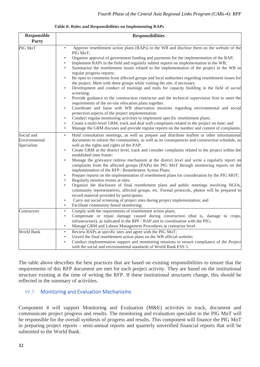| <b>Responsible</b><br>Party                | <b>Responsibilities</b>                                                                                                                                                                                                                                                                                                                                                                                                                                                                                                                                                                                                                                                                                                                                                                                                                                                                                                                                                                                                                                                                                                                                                                                                                                                                                                                                                                                                         |  |  |  |
|--------------------------------------------|---------------------------------------------------------------------------------------------------------------------------------------------------------------------------------------------------------------------------------------------------------------------------------------------------------------------------------------------------------------------------------------------------------------------------------------------------------------------------------------------------------------------------------------------------------------------------------------------------------------------------------------------------------------------------------------------------------------------------------------------------------------------------------------------------------------------------------------------------------------------------------------------------------------------------------------------------------------------------------------------------------------------------------------------------------------------------------------------------------------------------------------------------------------------------------------------------------------------------------------------------------------------------------------------------------------------------------------------------------------------------------------------------------------------------------|--|--|--|
| PIG MoT                                    | Approve resettlement action plans (RAPs) in the WB and disclose them on the website of the<br>$\bullet$<br>PIG MoT;<br>Organize approval of government funding and payments for the implementation of the RAP;<br>Implement RAPs in the field and regularly submit reports on implementation to the WB;<br>$\bullet$<br>Summarize the resettlement issues related to the implementation of the project in the WB in<br>٠<br>regular progress reports;<br>Be open to comments from affected groups and local authorities regarding resettlement issues for<br>$\bullet$<br>the project. Meet with these groups while visiting the site, if necessary.<br>Development and conduct of trainings and tools for capacity building in the field of social<br>screening;<br>Provide guidance to the construction contractor and the technical supervision firm to meet the<br>$\bullet$<br>requirements of the on-site relocation plans together.<br>Coordinate and liaise with WB observation missions regarding environmental and social<br>$\bullet$<br>protection aspects of the project implementation.<br>Conduct regular monitoring activities to implement specific resettlement plans;<br>$\bullet$<br>Create a multi-level GRM, track and deal with complaints related to the project on time; and<br>$\bullet$<br>Manage the GRM discuses and provide regular reports on the number and content of complaints.<br>$\bullet$ |  |  |  |
| Social and<br>Environmental<br>Specialists | Hold consultation meetings, as well as prepare and distribute leaflets or other informational<br>$\bullet$<br>documents to inform the communities, as well as its consequences and construction schedule, as<br>well as the rights and rights of the PAP;<br>Create GRM at the district level, track and consider complaints related to the project within the<br>$\bullet$<br>established time frame;<br>Manage the grievance redress mechanism at the district level and write a regularly report on<br>$\bullet$<br>complaints from the affected groups (PAPs) the PIG MoT through monitoring reports on the<br>implementation of the RFP / Resettlement Action Plans;<br>Prepare reports on the implementation of resettlement plans for consideration by the PIG MOT;<br>$\bullet$<br>Regularly monitor events at sites.<br>$\bullet$<br>Organize the disclosure of final resettlement plans and public meetings involving NGOs,<br>$\bullet$<br>community representatives, affected groups, etc. Formal protocols, photos will be prepared to<br>record material provided by participants;<br>Carry out social screening of project sites during project implementation; and<br>$\bullet$<br>Facilitate community-based monitoring;<br>$\bullet$                                                                                                                                                                          |  |  |  |
| Contractors                                | Comply with the requirements of resettlement action plans;<br>$\bullet$<br>Compensate or repair damage caused during construction (that is, damage to crops,<br>$\bullet$<br>infrastructure), as indicated in the RPF / RAP and in coordination with the PIG;<br>Manage GRM and Labour Management Procedures at contractor level.<br>$\bullet$                                                                                                                                                                                                                                                                                                                                                                                                                                                                                                                                                                                                                                                                                                                                                                                                                                                                                                                                                                                                                                                                                  |  |  |  |
| <b>World Bank</b>                          | Review RAPs at specific sites and agree with the PIG MoT;<br>$\bullet$<br>Unveil the final resettlement action plans on the WB official website;<br>$\bullet$<br>Conduct implementation support and monitoring missions to ensure compliance of the Project<br>with the social and environmental standards of World Bank ESS 5.                                                                                                                                                                                                                                                                                                                                                                                                                                                                                                                                                                                                                                                                                                                                                                                                                                                                                                                                                                                                                                                                                                 |  |  |  |

#### **Table 8: Roles and Responsibilities on Implementing RAPs**

<span id="page-31-0"></span>The table above describes the best practices that are based on existing responsibilities to ensure that the requirements of this RFP document are met for each project activity. They are based on the institutional structure existing at the time of writing the RFP. If these institutional structures change, this should be reflected in the summary of activities.

# VII.7. Monitoring and Evaluation Mechanisms

Component 4 will support Monitoring and Evaluation (M&E) activities to track, document and communicate project progress and results. The monitoring and evaluation specialist in the PIG MoT will be responsible for the overall synthesis of progress and results. This component will finance the PIG MoT in preparing project reports - semi-annual reports and quarterly unverified financial reports that will be submitted to the World Bank.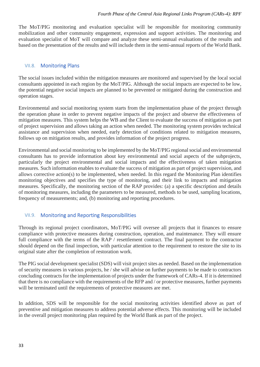<span id="page-32-0"></span>The MoT/PIG monitoring and evaluation specialist will be responsible for monitoring community mobilization and other community engagement, expression and support activities. The monitoring and evaluation specialist of MoT will compare and analyze these semi-annual evaluations of the results and based on the presentation of the results and will include them in the semi-annual reports of the World Bank.

## VII.8. Monitoring Plans

The social issues included within the mitigation measures are monitored and supervised by the local social consultants appointed in each region by the MoT/PIG. Although the social impacts are expected to be low, the potential negative social impacts are planned to be prevented or mitigated during the construction and operation stages.

Environmental and social monitoring system starts from the implementation phase of the project through the operation phase in order to prevent negative impacts of the project and observe the effectiveness of mitigation measures. This system helps the WB and the Client to evaluate the success of mitigation as part of project supervision and allows taking an action when needed. The monitoring system provides technical assistance and supervision when needed, early detection of conditions related to mitigation measures, follows up on mitigation results, and provides information of the project progress.

Environmental and social monitoring to be implemented by the MoT/PIG regional social and environmental consultants has to provide information about key environmental and social aspects of the subprojects, particularly the project environmental and social impacts and the effectiveness of taken mitigation measures. Such information enables to evaluate the success of mitigation as part of project supervision, and allows corrective action(s) to be implemented, when needed. In this regard the Monitoring Plan identifies monitoring objectives and specifies the type of monitoring, and their link to impacts and mitigation measures. Specifically, the monitoring section of the RAP provides: (a) a specific description and details of monitoring measures, including the parameters to be measured, methods to be used, sampling locations, frequency of measurements; and, (b) monitoring and reporting procedures.

# <span id="page-32-1"></span>VII.9. Monitoring and Reporting Responsibilities

Through its regional project coordinators, MoT/PIG will oversee all projects that it finances to ensure compliance with protective measures during construction, operation, and maintenance. They will ensure full compliance with the terms of the RAP / resettlement contract. The final payment to the contractor should depend on the final inspection, with particular attention to the requirement to restore the site to its original state after the completion of restoration work.

The PIG social development specialist (SDS) will visit project sites as needed. Based on the implementation of security measures in various projects, he / she will advise on further payments to be made to contractors concluding contracts for the implementation of projects under the framework of CARs-4. If it is determined that there is no compliance with the requirements of the RFP and / or protective measures, further payments will be terminated until the requirements of protective measures are met.

In addition, SDS will be responsible for the social monitoring activities identified above as part of preventive and mitigation measures to address potential adverse effects. This monitoring will be included in the overall project monitoring plan required by the World Bank as part of the project.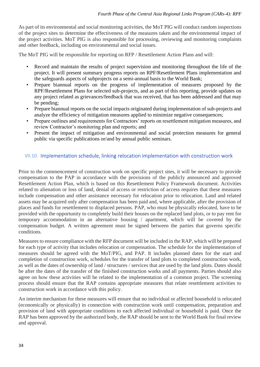As part of its environmental and social monitoring activities, the MoT PIG will conduct random inspections of the project sites to determine the effectiveness of the measures taken and the environmental impact of the project activities. MoT PIG is also responsible for processing, reviewing and monitoring complaints and other feedback, including on environmental and social issues.

The MoT PIG will be responsible for reporting on RFP / Resettlement Action Plans and will:

- Record and maintain the results of project supervision and monitoring throughout the life of the project. It will present summary progress reports on RPF/Resettlement Plans implementation and the safeguards aspects of subprojects on a semi-annual basis to the World Bank;
- Prepare biannual reports on the progress of implementation of measures proposed by the RPF/Resettlement Plans for selected sub-projects, and as part of this reporting, provide updates on any project related as grievances/feedback that was received, that has been addressed and that may be pending;
- Prepare biannual reports on the social impacts originated during implementation of sub-projects and analyze the efficiency of mitigation measures applied to minimize negative consequences;
- Prepare outlines and requirements for Contractors' reports on resettlement mitigation measures, and review Contractor's monitoring plan and reports; and
- <span id="page-33-0"></span>• Present the impact of mitigation and environmental and social protection measures for general public via specific publications or/and by annual public seminars.

## VII.10. Implementation schedule, linking relocation implementation with construction work

Prior to the commencement of construction work on specific project sites, it will be necessary to provide compensation to the PAP in accordance with the provisions of the publicly announced and approved Resettlement Action Plan, which is based on this Resettlement Policy Framework document. Activities related to alienation or loss of land, denial of access or restriction of access requires that these measures include compensation and other assistance necessary for relocation prior to relocation. Land and related assets may be acquired only after compensation has been paid and, where applicable, after the provision of places and funds for resettlement to displaced persons. PAP, who must be physically relocated, have to be provided with the opportunity to completely build their houses on the replaced land plots, or to pay rent for temporary accommodation in an alternative housing / apartment, which will be covered by the compensation budget. A written agreement must be signed between the parties that governs specific conditions.

Measures to ensure compliance with the RFP document will be included in the RAP, which will be prepared for each type of activity that includes relocation or compensation. The schedule for the implementation of measures should be agreed with the MoT/PIG, and PAP. It includes planned dates for the start and completion of construction work, schedules for the transfer of land plots to completed construction work, as well as the dates of ownership of land / structures / services that are used by the land plots. Dates should be after the dates of the transfer of the finished construction works and all payments. Parties should also agree on how these activities will be related to the implementation of a common project. The screening process should ensure that the RAP contains appropriate measures that relate resettlement activities to construction work in accordance with this policy.

An interim mechanism for these measures will ensure that no individual or affected household is relocated (economically or physically) in connection with construction work until compensation, preparation and provision of land with appropriate conditions to each affected individual or household is paid. Once the RAP has been approved by the authorized body, the RAP should be sent to the World Bank for final review and approval.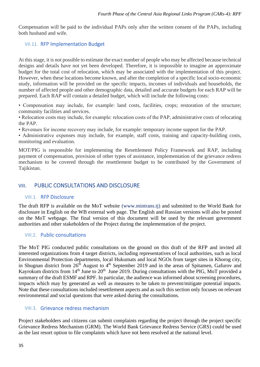<span id="page-34-0"></span>Compensation will be paid to the individual PAPs only after the written consent of the PAPs, including both husband and wife.

## VII.11. RFP Implementation Budget

At this stage, it is not possible to estimate the exact number of people who may be affected because technical designs and details have not yet been developed. Therefore, it is impossible to imagine an approximate budget for the total cost of relocation, which may be associated with the implementation of this project. However, when these locations become known, and after the completion of a specific local socio-economic study, information will be provided on the specific impacts, incomes of individuals and households, the number of affected people and other demographic data, detailed and accurate budgets for each RAP will be prepared. Each RAP will contain a detailed budget, which will include the following costs:

• Compensation may include, for example: land costs, facilities, crops; restoration of the structure; community facilities and services.

• Relocation costs may include, for example: relocation costs of the PAP, administrative costs of relocating the PAP.

• Revenues for income recovery may include, for example: temporary income support for the PAP.

• Administrative expenses may include, for example, staff costs, training and capacity-building costs, monitoring and evaluation.

<span id="page-34-1"></span>MOT/PIG is responsible for implementing the Resettlement Policy Framework and RAP, including payment of compensation, provision of other types of assistance, implementation of the grievance redress mechanism to be covered through the resettlement budget to be contributed by the Government of Tajikistan.

# <span id="page-34-2"></span>VIII. PUBLIC CONSULTATIONS AND DISCLOSURE

## VIII.1. RFP Disclosure

<span id="page-34-3"></span>The draft RFP is available on the MoT website (www.mintrans.tj) and submitted to the World Bank for disclosure in English on the WB external web page. The English and Russian versions will also be posted on the MoT webpage. The final version of this document will be used by the relevant government authorities and other stakeholders of the Project during the implementation of the project.

## VIII.2. Public consultations

The MoT PIG conducted public consultations on the ground on this draft of the RFP and invited all interested organizations from 4 target districts, including representatives of local authorities, such as local Environmental Protection departments, local Hukumats and local NGOs from target sites in Khorog city, in Shugnan district from  $26<sup>th</sup>$  August to  $4<sup>th</sup>$  September 2019 and in the areas of Spitamen, Gafurov and Kayrokum districts from  $14<sup>th</sup>$  June to  $20<sup>th</sup>$  June 2019. During consultations with the PIG, MoT provided a summary of the draft ESMF and RPF. In particular, the audience was informed about screening procedures, impacts which may by generated as well as measures to be taken to prevent/mitigate potential impacts. Note that these consultations included resettlement aspects and as such this section only focuses on relevant environmental and social questions that were asked during the consultations.

## <span id="page-34-4"></span>VIII.3. Grievance redress mechanism

Project stakeholders and citizens can submit complaints regarding the project through the project specific Grievance Redress Mechanism (GRM). The World Bank Grievance Redress Service (GRS) could be used as the last resort option to file complaints which have not been resolved at the national level.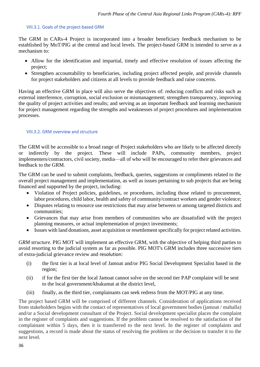### <span id="page-35-0"></span>VIII.3.1. Goals of the project-based GRM

The GRM in CARs-4 Project is incorporated into a broader beneficiary feedback mechanism to be established by MoT/PIG at the central and local levels. The project-based GRM is intended to serve as a mechanism to:

- Allow for the identification and impartial, timely and effective resolution of issues affecting the project;
- Strengthen accountability to beneficiaries, including project affected people, and provide channels for project stakeholders and citizens at all levels to provide feedback and raise concerns.

<span id="page-35-1"></span>Having an effective GRM in place will also serve the objectives of: reducing conflicts and risks such as external interference, corruption, social exclusion or mismanagement; strengthen transparency, improving the quality of project activities and results; and serving as an important feedback and learning mechanism for project management regarding the strengths and weaknesses of project procedures and implementation processes.

## VIII.3.2. GRM overview and structure

The GRM will be accessible to a broad range of Project stakeholders who are likely to be affected directly or indirectly by the project. These will include PAPs, community members, project implementers/contractors, civil society, media—all of who will be encouraged to refer their grievances and feedback to the GRM.

The GRM can be used to submit complaints, feedback, queries, suggestions or compliments related to the overall project management and implementation, as well as issues pertaining to sub projects that are being financed and supported by the project, including:

- Violation of Project policies, guidelines, or procedures, including those related to procurement, labor procedures, child labor, health and safety of community/contract workers and gender violence;
- Disputes relating to resource use restrictions that may arise between or among targeted districts and communities;
- Grievances that may arise from members of communities who are dissatisfied with the project planning measures, or actual implementation of project investments;
- Issues with land donations, asset acquisition or resettlement specifically for project related activities.

*GRM structure.* PIG MOT will implement an effective GRM, with the objective of helping third parties to avoid resorting to the judicial system as far as possible. PIG MOT's GRM includes three successive tiers of extra-judicial grievance review and resolution:

- (i) the first tier is at local level of Jamoat and/or PIG Social Development Specialist based in the region;
- (ii) if for the first tier the local Jamoat cannot solve on the second tier PAP complaint will be sent to the local government/khukumat at the district level,
- (iii) finally, as the third tier, complainants can seek redress from the MOT/PIG at any time.

The project based GRM will be comprised of different channels. Consideration of applications received from stakeholders begins with the contact of representatives of local government bodies (jamoat / mahalla) and/or a Social development consultant of the Project. Social development specialist places the complaint in the register of complaints and suggestions. If the problem cannot be resolved to the satisfaction of the complainant within 5 days, then it is transferred to the next level. In the register of complaints and suggestions, a record is made about the status of resolving the problem or the decision to transfer it to the next level.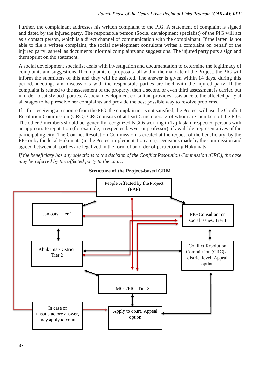Further, the complainant addresses his written complaint to the PIG. A statement of complaint is signed and dated by the injured party. The responsible person (Social development specialist) of the PIG will act as a contact person, which is a direct channel of communication with the complainant. If the latter is not able to file a written complaint, the social development consultant writes a complaint on behalf of the injured party, as well as documents informal complaints and suggestions. The injured party puts a sign and thumbprint on the statement.

A social development specialist deals with investigation and documentation to determine the legitimacy of complaints and suggestions. If complaints or proposals fall within the mandate of the Project, the PIG will inform the submitters of this and they will be assisted. The answer is given within 14 days, during this period, meetings and discussions with the responsible parties are held with the injured party. If the complaint is related to the assessment of the property, then a second or even third assessment is carried out in order to satisfy both parties. A social development consultant provides assistance to the affected party at all stages to help resolve her complaints and provide the best possible way to resolve problems.

If, after receiving a response from the PIG, the complainant is not satisfied, the Project will use the Conflict Resolution Commission (CRC). CRC consists of at least 5 members, 2 of whom are members of the PIG. The other 3 members should be: generally recognized NGOs working in Tajikistan; respected persons with an appropriate reputation (for example, a respected lawyer or professor), if available; representatives of the participating city; The Conflict Resolution Commission is created at the request of the beneficiary, by the PIG or by the local Hukumats (in the Project implementation area). Decisions made by the commission and agreed between all parties are legalized in the form of an order of participating Hukumats.

*If the beneficiary has any objections to the decision of the Conflict Resolution Commission (CRC), the case may be referred by the affected party to the court.*



**Structure of the Project-based GRM**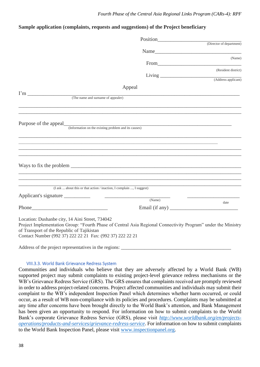## **Sample application (complaints, requests and suggestions) of the Project beneficiary**

|                                                                                                                                                                                                                                                                             |                                                           | (Director of department) |
|-----------------------------------------------------------------------------------------------------------------------------------------------------------------------------------------------------------------------------------------------------------------------------|-----------------------------------------------------------|--------------------------|
|                                                                                                                                                                                                                                                                             |                                                           |                          |
|                                                                                                                                                                                                                                                                             |                                                           | (Name)                   |
|                                                                                                                                                                                                                                                                             |                                                           |                          |
|                                                                                                                                                                                                                                                                             |                                                           | (Resident district)      |
|                                                                                                                                                                                                                                                                             |                                                           |                          |
|                                                                                                                                                                                                                                                                             | Appeal                                                    |                          |
| (The name and surname of appealer)                                                                                                                                                                                                                                          |                                                           |                          |
|                                                                                                                                                                                                                                                                             |                                                           |                          |
|                                                                                                                                                                                                                                                                             |                                                           |                          |
|                                                                                                                                                                                                                                                                             |                                                           |                          |
| Ways to fix the problem                                                                                                                                                                                                                                                     |                                                           |                          |
| (I ask  about this or that action / inaction, I complain , I suggest)                                                                                                                                                                                                       |                                                           |                          |
| Applicant's signature ___________                                                                                                                                                                                                                                           | <u> 1989 - Johann Barbara, martin amerikan personal (</u> |                          |
|                                                                                                                                                                                                                                                                             | (Name)                                                    | date                     |
| Phone Phone                                                                                                                                                                                                                                                                 |                                                           |                          |
| Location: Dushanbe city, 14 Aini Street, 734042<br>Project Implementation Group: "Fourth Phase of Central Asia Regional Connectivity Program" under the Ministry<br>of Transport of the Republic of Tajikistan<br>Contact Number (992 37) 222 22 21 Fax: (992 37) 222 22 21 |                                                           |                          |

<span id="page-37-0"></span>Address of the project representatives in the regions: \_\_\_\_\_\_\_\_\_\_\_\_\_\_\_\_\_\_\_\_\_\_\_\_\_\_

#### VIII.3.3. World Bank Grievance Redress System

Communities and individuals who believe that they are adversely affected by a World Bank (WB) supported project may submit complaints to existing project-level grievance redress mechanisms or the WB's Grievance Redress Service (GRS). The GRS ensures that complaints received are promptly reviewed in order to address project-related concerns. Project affected communities and individuals may submit their complaint to the WB's independent Inspection Panel which determines whether harm occurred, or could occur, as a result of WB non-compliance with its policies and procedures. Complaints may be submitted at any time after concerns have been brought directly to the World Bank's attention, and Bank Management has been given an opportunity to respond. For information on how to submit complaints to the World Bank's corporate Grievance Redress Service (GRS), please visit *[http://www.worldbank.org/en/projects](http://www.worldbank.org/en/projects-operations/products-and-services/grievance-redress-service)[operations/products-and-services/grievance-redress-service](http://www.worldbank.org/en/projects-operations/products-and-services/grievance-redress-service)*. For information on how to submit complaints to the World Bank Inspection Panel, please visit [www.inspectionpanel.org.](http://www.inspectionpanel.org/)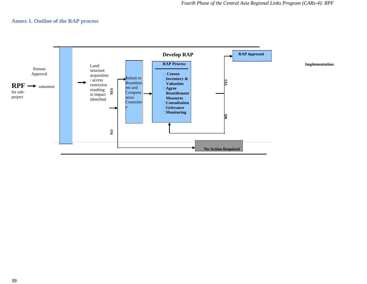## **Annex 1. Outline of the RAP process**

<span id="page-38-0"></span>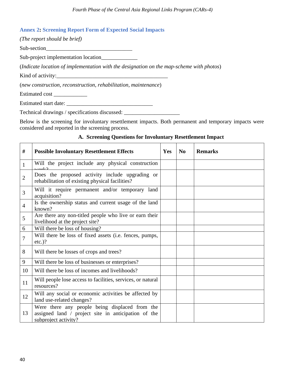## <span id="page-39-0"></span>**Annex 2: Screening Report Form of Expected Social Impacts**

| (The report should be brief)                                                             |
|------------------------------------------------------------------------------------------|
| Sub-section                                                                              |
| Sub-project implementation location                                                      |
| (Indicate location of implementation with the designation on the map-scheme with photos) |
| Kind of activity:                                                                        |
| (new construction, reconstruction, rehabilitation, maintenance)                          |
| Estimated cost                                                                           |
| Estimated start date:                                                                    |

Technical drawings / specifications discussed: \_\_\_\_\_\_\_\_\_\_\_\_\_\_\_\_\_\_\_\_\_\_\_\_\_\_\_\_\_\_\_\_\_

Below is the screening for involuntary resettlement impacts. Both permanent and temporary impacts were considered and reported in the screening process.

## **A. Screening Questions for Involuntary Resettlement Impact**

| #              | <b>Possible Involuntary Resettlement Effects</b>                                                                              | Yes | $\bf No$ | <b>Remarks</b> |
|----------------|-------------------------------------------------------------------------------------------------------------------------------|-----|----------|----------------|
| 1              | Will the project include any physical construction                                                                            |     |          |                |
| 2              | Does the proposed activity include upgrading or<br>rehabilitation of existing physical facilities?                            |     |          |                |
| 3              | Will it require permanent and/or temporary land<br>acquisition?                                                               |     |          |                |
| $\overline{4}$ | Is the ownership status and current usage of the land<br>known?                                                               |     |          |                |
| 5              | Are there any non-titled people who live or earn their<br>livelihood at the project site?                                     |     |          |                |
| 6              | Will there be loss of housing?                                                                                                |     |          |                |
| 7              | Will there be loss of fixed assets (i.e. fences, pumps,<br>$etc.$ )?                                                          |     |          |                |
| 8              | Will there be losses of crops and trees?                                                                                      |     |          |                |
| 9              | Will there be loss of businesses or enterprises?                                                                              |     |          |                |
| 10             | Will there be loss of incomes and livelihoods?                                                                                |     |          |                |
| 11             | Will people lose access to facilities, services, or natural<br>resources?                                                     |     |          |                |
| 12             | Will any social or economic activities be affected by<br>land use-related changes?                                            |     |          |                |
| 13             | Were there any people being displaced from the<br>assigned land / project site in anticipation of the<br>subproject activity? |     |          |                |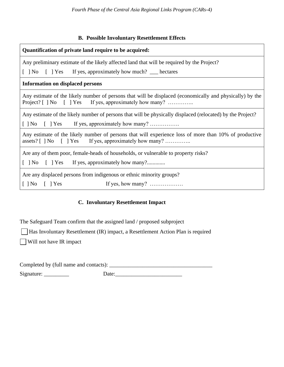## **B. Possible Involuntary Resettlement Effects**

| Quantification of private land require to be acquired:                                                                                                              |  |  |  |  |  |  |  |  |
|---------------------------------------------------------------------------------------------------------------------------------------------------------------------|--|--|--|--|--|--|--|--|
| Any preliminary estimate of the likely affected land that will be required by the Project?                                                                          |  |  |  |  |  |  |  |  |
| [ ] No [ ] Yes If yes, approximately how much? __ hectares                                                                                                          |  |  |  |  |  |  |  |  |
| <b>Information on displaced persons</b>                                                                                                                             |  |  |  |  |  |  |  |  |
| Any estimate of the likely number of persons that will be displaced (economically and physically) by the<br>Project? [ ] No [ ] Yes If yes, approximately how many? |  |  |  |  |  |  |  |  |
| Any estimate of the likely number of persons that will be physically displaced (relocated) by the Project?                                                          |  |  |  |  |  |  |  |  |
| $[$   No $[$   Yes If yes, approximately how many?                                                                                                                  |  |  |  |  |  |  |  |  |
| Any estimate of the likely number of persons that will experience loss of more than 10% of productive<br>assets? [ ] No [ ] Yes If yes, approximately how many?     |  |  |  |  |  |  |  |  |
| Are any of them poor, female-heads of households, or vulnerable to property risks?                                                                                  |  |  |  |  |  |  |  |  |
| [ ] No [ ] Yes If yes, approximately how many?                                                                                                                      |  |  |  |  |  |  |  |  |
| Are any displaced persons from indigenous or ethnic minority groups?                                                                                                |  |  |  |  |  |  |  |  |
| If yes, how many? $\dots$<br>$[$   No $[$   Yes                                                                                                                     |  |  |  |  |  |  |  |  |

# **C. Involuntary Resettlement Impact**

The Safeguard Team confirm that the assigned land / proposed subproject

Has Involuntary Resettlement (IR) impact, a Resettlement Action Plan is required

Will not have IR impact

Completed by (full name and contacts): \_\_\_\_\_\_\_\_\_\_\_\_\_\_\_\_\_\_\_\_\_\_\_\_\_\_\_\_\_\_\_\_\_\_\_\_\_ Signature: \_\_\_\_\_\_\_\_\_ Date:\_\_\_\_\_\_\_\_\_\_\_\_\_\_\_\_\_\_\_\_\_\_\_\_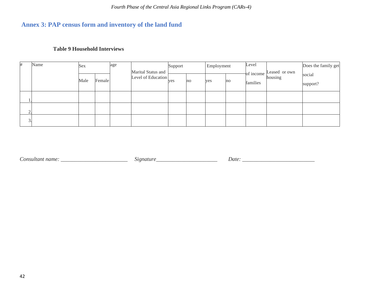# **Annex 3: PAP census form and inventory of the land fund**

# **Table 9 Household Interviews**

<span id="page-41-0"></span>

| #                | Name | Sex  |        | age | Marital Status and | Support |    | Employment |    | Level                 | Leased or own | Does the family get |  |
|------------------|------|------|--------|-----|--------------------|---------|----|------------|----|-----------------------|---------------|---------------------|--|
|                  |      | Male | Female |     | Level of Education | yes     | no | yes        | no | of income<br>families | housing       | social<br>support?  |  |
|                  |      |      |        |     |                    |         |    |            |    |                       |               |                     |  |
| $\overline{2}$ . |      |      |        |     |                    |         |    |            |    |                       |               |                     |  |
| 3                |      |      |        |     |                    |         |    |            |    |                       |               |                     |  |

*Consultant name: \_\_\_\_\_\_\_\_\_\_\_\_\_\_\_\_\_\_*\_\_\_\_\_\_ *Signature\_\_\_\_\_\_\_\_\_\_\_\_\_\_\_\_\_\_\_\_\_\_ Date: \_\_\_\_\_\_\_\_\_\_\_\_\_\_\_\_\_\_\_\_\_\_\_\_\_\_*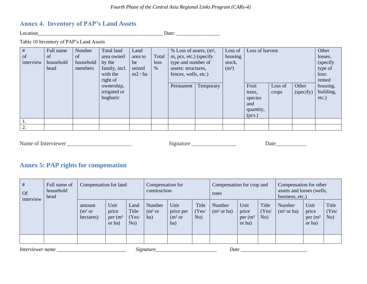# **Annex 4. Inventory of PAP's Land Assets**

Location\_\_\_\_\_\_\_\_\_\_\_\_\_\_\_\_\_\_\_\_\_\_\_\_\_\_\_\_\_\_\_\_\_\_\_\_\_\_\_\_\_\_\_\_\_\_\_\_\_ Date: \_\_\_\_\_\_\_\_\_\_\_\_\_\_\_\_\_

Table 10 Inventory of PAP's Land Assets

| $\#$          | Full name     | Number    | Total land    | Land    |       | $%$ Loss of assets, $(m2,$ |           | Loss of           | Loss of harvest |         | Other     |           |
|---------------|---------------|-----------|---------------|---------|-------|----------------------------|-----------|-------------------|-----------------|---------|-----------|-----------|
| of            | <sub>of</sub> | of        | area owned    | area to | Total | m, pcs, etc.) (specify     |           | housing           |                 |         |           | losses,   |
| interview     | household     | household | by the        | be      | loss  | type and number of         |           | stock,            |                 |         |           | (specify) |
|               | head          | members   | family, incl. | seized  | $\%$  | assets: structures,        |           | (m <sup>2</sup> ) |                 |         |           | type of   |
|               |               |           | with the      | m2 / ha |       | fences, wells, etc.)       |           |                   |                 |         | loss:     |           |
|               |               |           | right of      |         |       |                            |           |                   |                 |         | rented    |           |
|               |               |           | ownership,    |         |       | Permanent                  | Temporary |                   | Fruit           | Loss of | Other     | housing,  |
|               |               |           | irrigated or  |         |       |                            |           |                   | trees,          | crops   | (specify) | building, |
|               |               |           | bogharic      |         |       |                            |           |                   | species         |         |           | $etc.$ )  |
|               |               |           |               |         |       |                            |           |                   | and             |         |           |           |
|               |               |           |               |         |       |                            |           |                   | quantity,       |         |           |           |
|               |               |           |               |         |       |                            |           |                   | (pcs.)          |         |           |           |
|               |               |           |               |         |       |                            |           |                   |                 |         |           |           |
| $\mathcal{D}$ |               |           |               |         |       |                            |           |                   |                 |         |           |           |

<span id="page-42-0"></span>Name of Interviewer \_\_\_\_\_\_\_\_\_\_\_\_\_\_\_\_\_\_\_\_\_\_\_ Signature \_\_\_\_\_\_\_\_\_\_\_\_\_\_\_\_ Date\_\_\_\_\_\_\_\_\_\_\_

# **Annex 5: PAP rights for compensation**

| $\#$<br><b>Of</b><br>interview | Full name of<br>household<br>head | Compensation for land                     |                                                  |                               | Compensation for<br>construction    |                                                |                      | Compensation for crop and<br>trees |                                                  |                       | Compensation for other<br>assets and losses (wells,<br>business, etc.) |                                                  |                       |
|--------------------------------|-----------------------------------|-------------------------------------------|--------------------------------------------------|-------------------------------|-------------------------------------|------------------------------------------------|----------------------|------------------------------------|--------------------------------------------------|-----------------------|------------------------------------------------------------------------|--------------------------------------------------|-----------------------|
|                                |                                   | amount<br>(m <sup>2</sup> or<br>hectares) | Unit<br>price<br>per (m <sup>2</sup> )<br>or ha) | Land<br>Title<br>(Yes)<br>No) | Number<br>(m <sup>2</sup> or<br>ha) | Unit<br>price per<br>(m <sup>2</sup> or<br>ha) | Title<br>Yes/<br>No) | Number<br>(m <sup>2</sup> or ha)   | Unit<br>price<br>per (m <sup>2</sup> )<br>or ha) | Title<br>(Yes/<br>No) | Number<br>(m <sup>2</sup> or ha)                                       | Unit<br>price<br>per (m <sup>2</sup> )<br>or ha) | Title<br>(Yes/<br>No) |

<span id="page-42-1"></span>

| Interviewer n<br>name | atur.<br>.,<br>. | Date |
|-----------------------|------------------|------|
|-----------------------|------------------|------|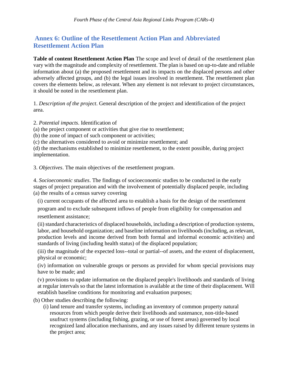# <span id="page-43-0"></span>**Annex 6: Outline of the Resettlement Action Plan and Abbreviated Resettlement Action Plan**

**Table of content Resettlement Action Plan** The scope and level of detail of the resettlement plan vary with the magnitude and complexity of resettlement. The plan is based on up-to-date and reliable information about (a) the proposed resettlement and its impacts on the displaced persons and other adversely affected groups, and (b) the legal issues involved in resettlement. The resettlement plan covers the elements below, as relevant. When any element is not relevant to project circumstances, it should be noted in the resettlement plan.

1. *Description of the project*. General description of the project and identification of the project area.

2. *Potential impacts*. Identification of

(a) the project component or activities that give rise to resettlement;

(b) the zone of impact of such component or activities;

(c) the alternatives considered to avoid or minimize resettlement; and

(d) the mechanisms established to minimize resettlement, to the extent possible, during project implementation.

3. *Objectives*. The main objectives of the resettlement program.

4. *Socioeconomic studies*. The findings of socioeconomic studies to be conducted in the early stages of project preparation and with the involvement of potentially displaced people, including (a) the results of a census survey covering

(i) current occupants of the affected area to establish a basis for the design of the resettlement

program and to exclude subsequent inflows of people from eligibility for compensation and resettlement assistance;

(ii) standard characteristics of displaced households, including a description of production systems, labor, and household organization; and baseline information on livelihoods (including, as relevant, production levels and income derived from both formal and informal economic activities) and standards of living (including health status) of the displaced population;

(iii) the magnitude of the expected loss--total or partial--of assets, and the extent of displacement, physical or economic;

(iv) information on vulnerable groups or persons as provided for whom special provisions may have to be made; and

(v) provisions to update information on the displaced people's livelihoods and standards of living at regular intervals so that the latest information is available at the time of their displacement. Will establish baseline conditions for monitoring and evaluation purposes;

(b) Other studies describing the following:

(i) land tenure and transfer systems, including an inventory of common property natural resources from which people derive their livelihoods and sustenance, non-title-based usufruct systems (including fishing, grazing, or use of forest areas) governed by local recognized land allocation mechanisms, and any issues raised by different tenure systems in the project area;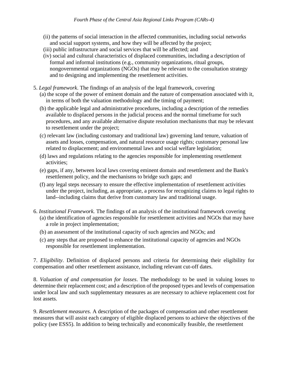- (ii) the patterns of social interaction in the affected communities, including social networks and social support systems, and how they will be affected by the project;
- (iii) public infrastructure and social services that will be affected; and
- (iv) social and cultural characteristics of displaced communities, including a description of formal and informal institutions (e.g., community organizations, ritual groups, nongovernmental organizations (NGOs) that may be relevant to the consultation strategy and to designing and implementing the resettlement activities.
- 5. *Legal framework*. The findings of an analysis of the legal framework, covering
	- (a) the scope of the power of eminent domain and the nature of compensation associated with it, in terms of both the valuation methodology and the timing of payment;
	- (b) the applicable legal and administrative procedures, including a description of the remedies available to displaced persons in the judicial process and the normal timeframe for such procedures, and any available alternative dispute resolution mechanisms that may be relevant to resettlement under the project;
	- (c) relevant law (including customary and traditional law) governing land tenure, valuation of assets and losses, compensation, and natural resource usage rights; customary personal law related to displacement; and environmental laws and social welfare legislation;
	- (d) laws and regulations relating to the agencies responsible for implementing resettlement activities;
	- (e) gaps, if any, between local laws covering eminent domain and resettlement and the Bank's resettlement policy, and the mechanisms to bridge such gaps; and
	- (f) any legal steps necessary to ensure the effective implementation of resettlement activities under the project, including, as appropriate, a process for recognizing claims to legal rights to land--including claims that derive from customary law and traditional usage.
- 6. *Institutional Framework.* The findings of an analysis of the institutional framework covering (a) the identification of agencies responsible for resettlement activities and NGOs that may have a role in project implementation;
	- (b) an assessment of the institutional capacity of such agencies and NGOs; and
	- (c) any steps that are proposed to enhance the institutional capacity of agencies and NGOs responsible for resettlement implementation.

7. *Eligibility*. Definition of displaced persons and criteria for determining their eligibility for compensation and other resettlement assistance, including relevant cut-off dates.

8. *Valuation of and compensation for losses*. The methodology to be used in valuing losses to determine their replacement cost; and a description of the proposed types and levels of compensation under local law and such supplementary measures as are necessary to achieve replacement cost for lost assets.

9. *Resettlement measures.* A description of the packages of compensation and other resettlement measures that will assist each category of eligible displaced persons to achieve the objectives of the policy (see ESS5). In addition to being technically and economically feasible, the resettlement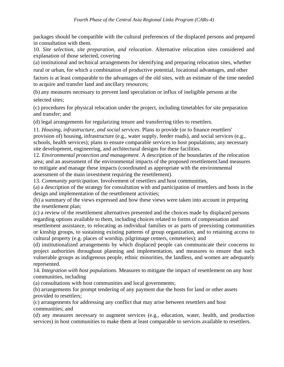packages should be compatible with the cultural preferences of the displaced persons and prepared in consultation with them.

10. *Site selection, site preparation, and relocation*. Alternative relocation sites considered and explanation of those selected, covering

(a) institutional and technical arrangements for identifying and preparing relocation sites, whether rural or urban, for which a combination of productive potential, locational advantages, and other factors is at least comparable to the advantages of the old sites, with an estimate of the time needed to acquire and transfer land and ancillary resources;

(b) any measures necessary to prevent land speculation or influx of ineligible persons at the selected sites;

(c) procedures for physical relocation under the project, including timetables for site preparation and transfer; and

(d) legal arrangements for regularizing tenure and transferring titles to resettlers.

11. *Housing, infrastructure, and social services*. Plans to provide (or to finance resettlers' provision of) housing, infrastructure (e.g., water supply, feeder roads), and social services (e.g., schools, health services); plans to ensure comparable services to host populations; any necessary site development, engineering, and architectural designs for these facilities.

12. *Environmental protection and management*. A description of the boundaries of the relocation area; and an assessment of the environmental impacts of the proposed resettlement3and measures to mitigate and manage these impacts (coordinated as appropriate with the environmental assessment of the main investment requiring the resettlement).

13. *Community participation*. Involvement of resettlers and host communities,

(a) a description of the strategy for consultation with and participation of resettlers and hosts in the design and implementation of the resettlement activities;

(b) a summary of the views expressed and how these views were taken into account in preparing the resettlement plan;

(c) a review of the resettlement alternatives presented and the choices made by displaced persons regarding options available to them, including choices related to forms of compensation and

resettlement assistance, to relocating as individual families or as parts of preexisting communities or kinship groups, to sustaining existing patterns of group organization, and to retaining access to cultural property (e.g. places of worship, pilgrimage centers, cemeteries); and

(d) institutionalized arrangements by which displaced people can communicate their concerns to project authorities throughout planning and implementation, and measures to ensure that such vulnerable groups as indigenous people, ethnic minorities, the landless, and women are adequately represented.

14. *Integration with host populations*. Measures to mitigate the impact of resettlement on any host communities, including

(a) consultations with host communities and local governments;

(b) arrangements for prompt tendering of any payment due the hosts for land or other assets provided to resettlers;

(c) arrangements for addressing any conflict that may arise between resettlers and host communities; and

(d) any measures necessary to augment services (e.g., education, water, health, and production services) in host communities to make them at least comparable to services available to resettlers.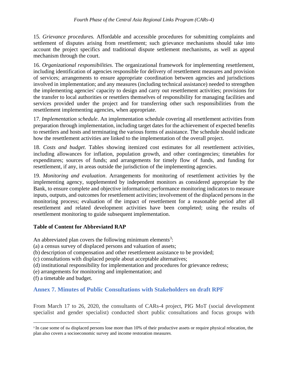15. *Grievance procedures.* Affordable and accessible procedures for submitting complaints and settlement of disputes arising from resettlement; such grievance mechanisms should take into account the project specifics and traditional dispute settlement mechanisms, as well as appeal mechanism through the court.

16. *Organizational responsibilities*. The organizational framework for implementing resettlement, including identification of agencies responsible for delivery of resettlement measures and provision of services; arrangements to ensure appropriate coordination between agencies and jurisdictions involved in implementation; and any measures (including technical assistance) needed to strengthen the implementing agencies' capacity to design and carry out resettlement activities; provisions for the transfer to local authorities or resettlers themselves of responsibility for managing facilities and services provided under the project and for transferring other such responsibilities from the resettlement implementing agencies, when appropriate.

17. *Implementation schedule*. An implementation schedule covering all resettlement activities from preparation through implementation, including target dates for the achievement of expected benefits to resettlers and hosts and terminating the various forms of assistance. The schedule should indicate how the resettlement activities are linked to the implementation of the overall project.

18. *Costs and budget*. Tables showing itemized cost estimates for all resettlement activities, including allowances for inflation, population growth, and other contingencies; timetables for expenditures; sources of funds; and arrangements for timely flow of funds, and funding for resettlement, if any, in areas outside the jurisdiction of the implementing agencies.

19. *Monitoring and evaluation*. Arrangements for monitoring of resettlement activities by the implementing agency, supplemented by independent monitors as considered appropriate by the Bank, to ensure complete and objective information; performance monitoring indicators to measure inputs, outputs, and outcomes for resettlement activities; involvement of the displaced persons in the monitoring process; evaluation of the impact of resettlement for a reasonable period after all resettlement and related development activities have been completed; using the results of resettlement monitoring to guide subsequent implementation.

## **Table of Content for Abbreviated RAP**

An abbreviated plan covers the following minimum elements<sup>3</sup>:

- (a) a census survey of displaced persons and valuation of assets;
- (b) description of compensation and other resettlement assistance to be provided;
- (c) consultations with displaced people about acceptable alternatives;
- (d) institutional responsibility for implementation and procedures for grievance redress;
- (e) arrangements for monitoring and implementation; and
- (f) a timetable and budget.

# <span id="page-46-0"></span>**Annex 7. Minutes of Public Consultations with Stakeholders on draft RPF**

From March 17 to 26, 2020, the consultants of CARs-4 project, PIG MoT (social development specialist and gender specialist) conducted short public consultations and focus groups with

<sup>&</sup>lt;sup>3</sup> In case some of the displaced persons lose more than 10% of their productive assets or require physical relocation, the plan also covers a socioeconomic survey and income restoration measures.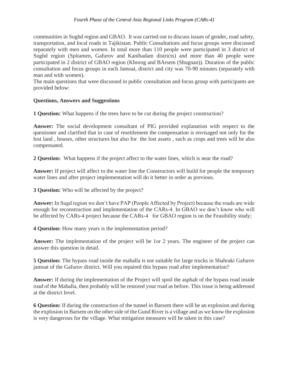communities in Sughd region and GBAO. It was carried out to discuss issues of gender, road safety, transportation, and local roads in Tajikistan. Public Consultations and focus groups were discussed separately with men and women. In total more than 110 people were participated in 3 district of Sughd region (Spitamen, Gafurov and Kanibadam districts) and more than 40 people were participated in 2 district of GBAO region (Khorog and BArsem (Shugnan)). Duration of the public consultation and focus groups in each Jamoat, district and city was 70-90 minutes (separately with man and with women).

The main questions that were discussed in public consultation and focus group with participants are provided below:

## **Questions, Answers and Suggestions**

**1 Question:** What happens if the trees have to be cut during the project construction?

**Answer:** The social development consultant of PIG provided explanation with respect to the questioner and clarified that in case of resettlement the compensation is envisaged not only for the lost land , houses, other structures but also for the lost assets , such as crops and trees will be also compensated.

**2 Question:** What happens if the project affect to the water lines, which is near the road?

**Answer:** If project will affect to the water line the Constructors will build for people the temporary water lines and after project implementation will do it better in order as previous.

**3 Question:** Who will be affected by the project?

**Answer:** In Sugd region we don't have PAP (People Affected by Project) because the roads are wide enough for reconstruction and implementation of the CARs-4. In GBAO we don't know who will be affected by CARs-4 project because the CARs-4 for GBAO region is on the Feasibility study;

**4 Question:** How many years is the implementation period?

**Answer:** The implementation of the project will be 1or 2 years. The engineer of the project can answer this question in detail.

**5 Question:** The bypass road inside the mahalla is not suitable for large trucks in Shahraki Gafurov jamoat of the Gafurov district. Will you repaired this bypass road after implementation?

**Answer:** If during the implementation of the Project will spoil the asphalt of the bypass road inside road of the Mahalla, then probably will be restored your road as before. This issue is being addressed at the district level.

**6 Question:** If during the construction of the tunnel in Barsem there will be an explosion and during the explosion in Barsem on the other side of the Gund River is a village and as we know the explosion is very dangerous for the village. What mitigation measures will be taken in this case?